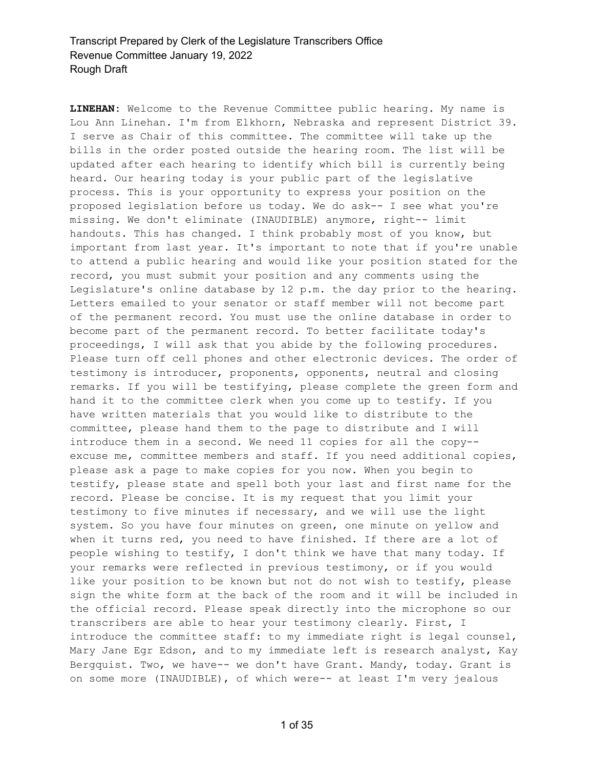**LINEHAN:** Welcome to the Revenue Committee public hearing. My name is Lou Ann Linehan. I'm from Elkhorn, Nebraska and represent District 39. I serve as Chair of this committee. The committee will take up the bills in the order posted outside the hearing room. The list will be updated after each hearing to identify which bill is currently being heard. Our hearing today is your public part of the legislative process. This is your opportunity to express your position on the proposed legislation before us today. We do ask-- I see what you're missing. We don't eliminate (INAUDIBLE) anymore, right-- limit handouts. This has changed. I think probably most of you know, but important from last year. It's important to note that if you're unable to attend a public hearing and would like your position stated for the record, you must submit your position and any comments using the Legislature's online database by 12 p.m. the day prior to the hearing. Letters emailed to your senator or staff member will not become part of the permanent record. You must use the online database in order to become part of the permanent record. To better facilitate today's proceedings, I will ask that you abide by the following procedures. Please turn off cell phones and other electronic devices. The order of testimony is introducer, proponents, opponents, neutral and closing remarks. If you will be testifying, please complete the green form and hand it to the committee clerk when you come up to testify. If you have written materials that you would like to distribute to the committee, please hand them to the page to distribute and I will introduce them in a second. We need 11 copies for all the copy- excuse me, committee members and staff. If you need additional copies, please ask a page to make copies for you now. When you begin to testify, please state and spell both your last and first name for the record. Please be concise. It is my request that you limit your testimony to five minutes if necessary, and we will use the light system. So you have four minutes on green, one minute on yellow and when it turns red, you need to have finished. If there are a lot of people wishing to testify, I don't think we have that many today. If your remarks were reflected in previous testimony, or if you would like your position to be known but not do not wish to testify, please sign the white form at the back of the room and it will be included in the official record. Please speak directly into the microphone so our transcribers are able to hear your testimony clearly. First, I introduce the committee staff: to my immediate right is legal counsel, Mary Jane Egr Edson, and to my immediate left is research analyst, Kay Bergquist. Two, we have-- we don't have Grant. Mandy, today. Grant is on some more (INAUDIBLE), of which were-- at least I'm very jealous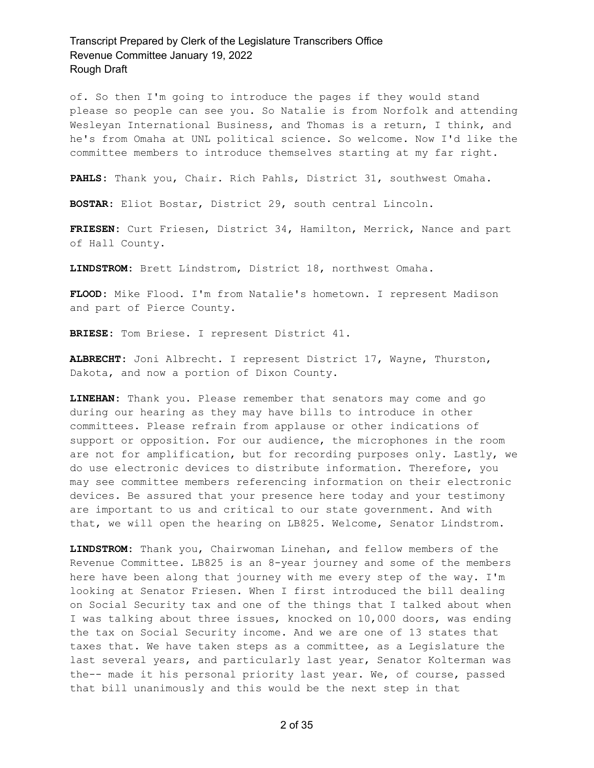of. So then I'm going to introduce the pages if they would stand please so people can see you. So Natalie is from Norfolk and attending Wesleyan International Business, and Thomas is a return, I think, and he's from Omaha at UNL political science. So welcome. Now I'd like the committee members to introduce themselves starting at my far right.

**PAHLS:** Thank you, Chair. Rich Pahls, District 31, southwest Omaha.

**BOSTAR:** Eliot Bostar, District 29, south central Lincoln.

**FRIESEN:** Curt Friesen, District 34, Hamilton, Merrick, Nance and part of Hall County.

**LINDSTROM:** Brett Lindstrom, District 18, northwest Omaha.

**FLOOD:** Mike Flood. I'm from Natalie's hometown. I represent Madison and part of Pierce County.

**BRIESE:** Tom Briese. I represent District 41.

**ALBRECHT:** Joni Albrecht. I represent District 17, Wayne, Thurston, Dakota, and now a portion of Dixon County.

**LINEHAN:** Thank you. Please remember that senators may come and go during our hearing as they may have bills to introduce in other committees. Please refrain from applause or other indications of support or opposition. For our audience, the microphones in the room are not for amplification, but for recording purposes only. Lastly, we do use electronic devices to distribute information. Therefore, you may see committee members referencing information on their electronic devices. Be assured that your presence here today and your testimony are important to us and critical to our state government. And with that, we will open the hearing on LB825. Welcome, Senator Lindstrom.

**LINDSTROM:** Thank you, Chairwoman Linehan, and fellow members of the Revenue Committee. LB825 is an 8-year journey and some of the members here have been along that journey with me every step of the way. I'm looking at Senator Friesen. When I first introduced the bill dealing on Social Security tax and one of the things that I talked about when I was talking about three issues, knocked on 10,000 doors, was ending the tax on Social Security income. And we are one of 13 states that taxes that. We have taken steps as a committee, as a Legislature the last several years, and particularly last year, Senator Kolterman was the-- made it his personal priority last year. We, of course, passed that bill unanimously and this would be the next step in that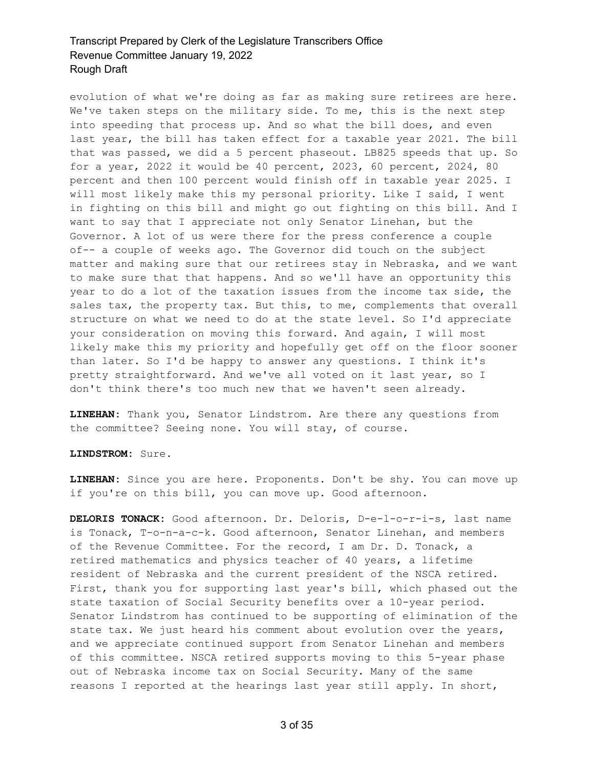evolution of what we're doing as far as making sure retirees are here. We've taken steps on the military side. To me, this is the next step into speeding that process up. And so what the bill does, and even last year, the bill has taken effect for a taxable year 2021. The bill that was passed, we did a 5 percent phaseout. LB825 speeds that up. So for a year, 2022 it would be 40 percent, 2023, 60 percent, 2024, 80 percent and then 100 percent would finish off in taxable year 2025. I will most likely make this my personal priority. Like I said, I went in fighting on this bill and might go out fighting on this bill. And I want to say that I appreciate not only Senator Linehan, but the Governor. A lot of us were there for the press conference a couple of-- a couple of weeks ago. The Governor did touch on the subject matter and making sure that our retirees stay in Nebraska, and we want to make sure that that happens. And so we'll have an opportunity this year to do a lot of the taxation issues from the income tax side, the sales tax, the property tax. But this, to me, complements that overall structure on what we need to do at the state level. So I'd appreciate your consideration on moving this forward. And again, I will most likely make this my priority and hopefully get off on the floor sooner than later. So I'd be happy to answer any questions. I think it's pretty straightforward. And we've all voted on it last year, so I don't think there's too much new that we haven't seen already.

**LINEHAN:** Thank you, Senator Lindstrom. Are there any questions from the committee? Seeing none. You will stay, of course.

**LINDSTROM:** Sure.

**LINEHAN:** Since you are here. Proponents. Don't be shy. You can move up if you're on this bill, you can move up. Good afternoon.

**DELORIS TONACK:** Good afternoon. Dr. Deloris, D-e-l-o-r-i-s, last name is Tonack, T-o-n-a-c-k. Good afternoon, Senator Linehan, and members of the Revenue Committee. For the record, I am Dr. D. Tonack, a retired mathematics and physics teacher of 40 years, a lifetime resident of Nebraska and the current president of the NSCA retired. First, thank you for supporting last year's bill, which phased out the state taxation of Social Security benefits over a 10-year period. Senator Lindstrom has continued to be supporting of elimination of the state tax. We just heard his comment about evolution over the years, and we appreciate continued support from Senator Linehan and members of this committee. NSCA retired supports moving to this 5-year phase out of Nebraska income tax on Social Security. Many of the same reasons I reported at the hearings last year still apply. In short,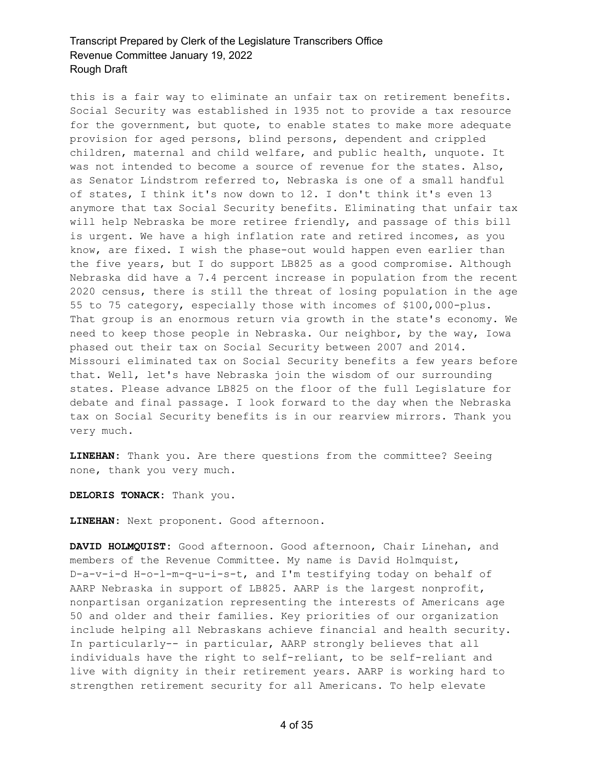this is a fair way to eliminate an unfair tax on retirement benefits. Social Security was established in 1935 not to provide a tax resource for the government, but quote, to enable states to make more adequate provision for aged persons, blind persons, dependent and crippled children, maternal and child welfare, and public health, unquote. It was not intended to become a source of revenue for the states. Also, as Senator Lindstrom referred to, Nebraska is one of a small handful of states, I think it's now down to 12. I don't think it's even 13 anymore that tax Social Security benefits. Eliminating that unfair tax will help Nebraska be more retiree friendly, and passage of this bill is urgent. We have a high inflation rate and retired incomes, as you know, are fixed. I wish the phase-out would happen even earlier than the five years, but I do support LB825 as a good compromise. Although Nebraska did have a 7.4 percent increase in population from the recent 2020 census, there is still the threat of losing population in the age 55 to 75 category, especially those with incomes of \$100,000-plus. That group is an enormous return via growth in the state's economy. We need to keep those people in Nebraska. Our neighbor, by the way, Iowa phased out their tax on Social Security between 2007 and 2014. Missouri eliminated tax on Social Security benefits a few years before that. Well, let's have Nebraska join the wisdom of our surrounding states. Please advance LB825 on the floor of the full Legislature for debate and final passage. I look forward to the day when the Nebraska tax on Social Security benefits is in our rearview mirrors. Thank you very much.

**LINEHAN:** Thank you. Are there questions from the committee? Seeing none, thank you very much.

**DELORIS TONACK:** Thank you.

**LINEHAN:** Next proponent. Good afternoon.

**DAVID HOLMQUIST:** Good afternoon. Good afternoon, Chair Linehan, and members of the Revenue Committee. My name is David Holmquist, D-a-v-i-d H-o-l-m-q-u-i-s-t, and I'm testifying today on behalf of AARP Nebraska in support of LB825. AARP is the largest nonprofit, nonpartisan organization representing the interests of Americans age 50 and older and their families. Key priorities of our organization include helping all Nebraskans achieve financial and health security. In particularly-- in particular, AARP strongly believes that all individuals have the right to self-reliant, to be self-reliant and live with dignity in their retirement years. AARP is working hard to strengthen retirement security for all Americans. To help elevate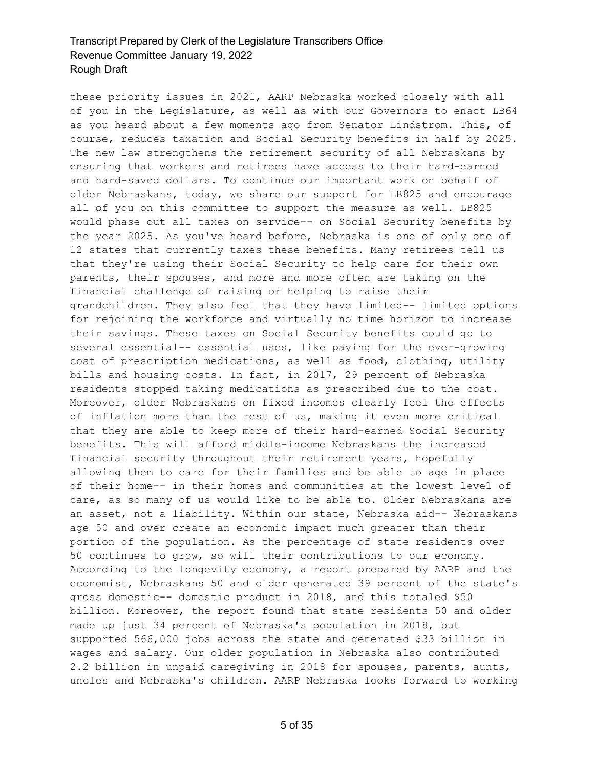these priority issues in 2021, AARP Nebraska worked closely with all of you in the Legislature, as well as with our Governors to enact LB64 as you heard about a few moments ago from Senator Lindstrom. This, of course, reduces taxation and Social Security benefits in half by 2025. The new law strengthens the retirement security of all Nebraskans by ensuring that workers and retirees have access to their hard-earned and hard-saved dollars. To continue our important work on behalf of older Nebraskans, today, we share our support for LB825 and encourage all of you on this committee to support the measure as well. LB825 would phase out all taxes on service-- on Social Security benefits by the year 2025. As you've heard before, Nebraska is one of only one of 12 states that currently taxes these benefits. Many retirees tell us that they're using their Social Security to help care for their own parents, their spouses, and more and more often are taking on the financial challenge of raising or helping to raise their grandchildren. They also feel that they have limited-- limited options for rejoining the workforce and virtually no time horizon to increase their savings. These taxes on Social Security benefits could go to several essential-- essential uses, like paying for the ever-growing cost of prescription medications, as well as food, clothing, utility bills and housing costs. In fact, in 2017, 29 percent of Nebraska residents stopped taking medications as prescribed due to the cost. Moreover, older Nebraskans on fixed incomes clearly feel the effects of inflation more than the rest of us, making it even more critical that they are able to keep more of their hard-earned Social Security benefits. This will afford middle-income Nebraskans the increased financial security throughout their retirement years, hopefully allowing them to care for their families and be able to age in place of their home-- in their homes and communities at the lowest level of care, as so many of us would like to be able to. Older Nebraskans are an asset, not a liability. Within our state, Nebraska aid-- Nebraskans age 50 and over create an economic impact much greater than their portion of the population. As the percentage of state residents over 50 continues to grow, so will their contributions to our economy. According to the longevity economy, a report prepared by AARP and the economist, Nebraskans 50 and older generated 39 percent of the state's gross domestic-- domestic product in 2018, and this totaled \$50 billion. Moreover, the report found that state residents 50 and older made up just 34 percent of Nebraska's population in 2018, but supported 566,000 jobs across the state and generated \$33 billion in wages and salary. Our older population in Nebraska also contributed 2.2 billion in unpaid caregiving in 2018 for spouses, parents, aunts, uncles and Nebraska's children. AARP Nebraska looks forward to working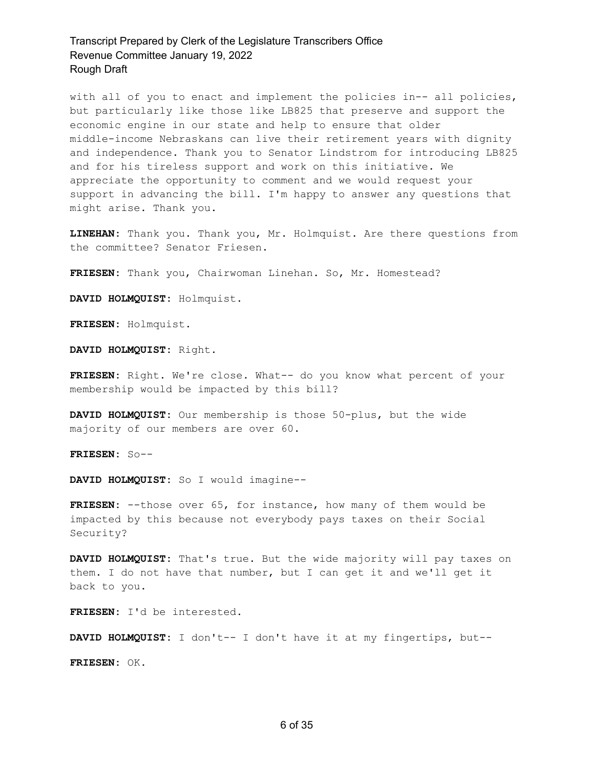with all of you to enact and implement the policies in-- all policies, but particularly like those like LB825 that preserve and support the economic engine in our state and help to ensure that older middle-income Nebraskans can live their retirement years with dignity and independence. Thank you to Senator Lindstrom for introducing LB825 and for his tireless support and work on this initiative. We appreciate the opportunity to comment and we would request your support in advancing the bill. I'm happy to answer any questions that might arise. Thank you.

**LINEHAN:** Thank you. Thank you, Mr. Holmquist. Are there questions from the committee? Senator Friesen.

**FRIESEN:** Thank you, Chairwoman Linehan. So, Mr. Homestead?

**DAVID HOLMQUIST:** Holmquist.

**FRIESEN:** Holmquist.

**DAVID HOLMQUIST:** Right.

**FRIESEN:** Right. We're close. What-- do you know what percent of your membership would be impacted by this bill?

**DAVID HOLMQUIST:** Our membership is those 50-plus, but the wide majority of our members are over 60.

**FRIESEN:** So--

**DAVID HOLMQUIST:** So I would imagine--

**FRIESEN:** --those over 65, for instance, how many of them would be impacted by this because not everybody pays taxes on their Social Security?

**DAVID HOLMQUIST:** That's true. But the wide majority will pay taxes on them. I do not have that number, but I can get it and we'll get it back to you.

**FRIESEN:** I'd be interested.

**DAVID HOLMQUIST:** I don't-- I don't have it at my fingertips, but--

**FRIESEN:** OK.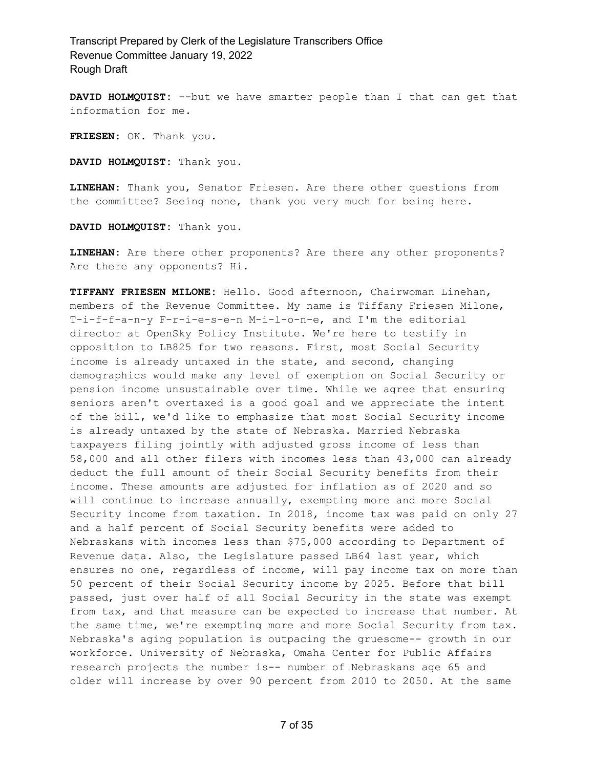**DAVID HOLMQUIST:** --but we have smarter people than I that can get that information for me.

**FRIESEN:** OK. Thank you.

**DAVID HOLMQUIST:** Thank you.

**LINEHAN:** Thank you, Senator Friesen. Are there other questions from the committee? Seeing none, thank you very much for being here.

**DAVID HOLMQUIST:** Thank you.

**LINEHAN:** Are there other proponents? Are there any other proponents? Are there any opponents? Hi.

**TIFFANY FRIESEN MILONE:** Hello. Good afternoon, Chairwoman Linehan, members of the Revenue Committee. My name is Tiffany Friesen Milone, T-i-f-f-a-n-y F-r-i-e-s-e-n M-i-l-o-n-e, and I'm the editorial director at OpenSky Policy Institute. We're here to testify in opposition to LB825 for two reasons. First, most Social Security income is already untaxed in the state, and second, changing demographics would make any level of exemption on Social Security or pension income unsustainable over time. While we agree that ensuring seniors aren't overtaxed is a good goal and we appreciate the intent of the bill, we'd like to emphasize that most Social Security income is already untaxed by the state of Nebraska. Married Nebraska taxpayers filing jointly with adjusted gross income of less than 58,000 and all other filers with incomes less than 43,000 can already deduct the full amount of their Social Security benefits from their income. These amounts are adjusted for inflation as of 2020 and so will continue to increase annually, exempting more and more Social Security income from taxation. In 2018, income tax was paid on only 27 and a half percent of Social Security benefits were added to Nebraskans with incomes less than \$75,000 according to Department of Revenue data. Also, the Legislature passed LB64 last year, which ensures no one, regardless of income, will pay income tax on more than 50 percent of their Social Security income by 2025. Before that bill passed, just over half of all Social Security in the state was exempt from tax, and that measure can be expected to increase that number. At the same time, we're exempting more and more Social Security from tax. Nebraska's aging population is outpacing the gruesome-- growth in our workforce. University of Nebraska, Omaha Center for Public Affairs research projects the number is-- number of Nebraskans age 65 and older will increase by over 90 percent from 2010 to 2050. At the same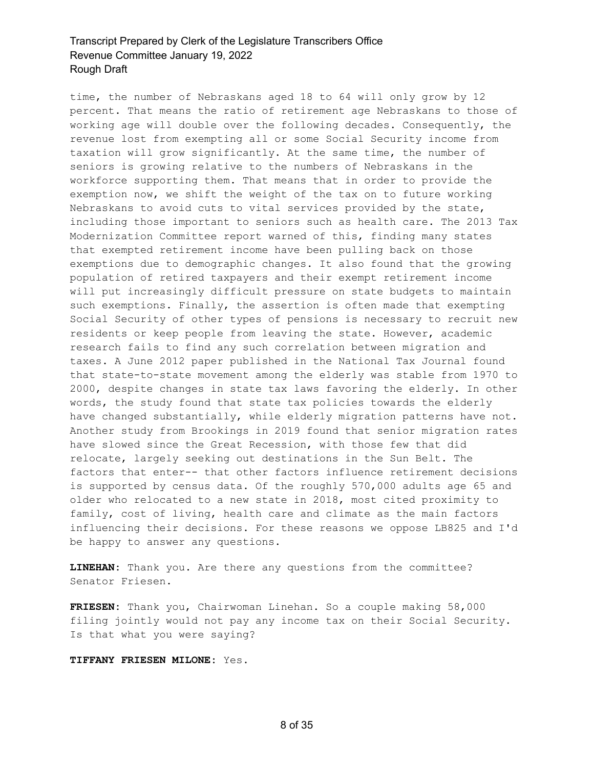time, the number of Nebraskans aged 18 to 64 will only grow by 12 percent. That means the ratio of retirement age Nebraskans to those of working age will double over the following decades. Consequently, the revenue lost from exempting all or some Social Security income from taxation will grow significantly. At the same time, the number of seniors is growing relative to the numbers of Nebraskans in the workforce supporting them. That means that in order to provide the exemption now, we shift the weight of the tax on to future working Nebraskans to avoid cuts to vital services provided by the state, including those important to seniors such as health care. The 2013 Tax Modernization Committee report warned of this, finding many states that exempted retirement income have been pulling back on those exemptions due to demographic changes. It also found that the growing population of retired taxpayers and their exempt retirement income will put increasingly difficult pressure on state budgets to maintain such exemptions. Finally, the assertion is often made that exempting Social Security of other types of pensions is necessary to recruit new residents or keep people from leaving the state. However, academic research fails to find any such correlation between migration and taxes. A June 2012 paper published in the National Tax Journal found that state-to-state movement among the elderly was stable from 1970 to 2000, despite changes in state tax laws favoring the elderly. In other words, the study found that state tax policies towards the elderly have changed substantially, while elderly migration patterns have not. Another study from Brookings in 2019 found that senior migration rates have slowed since the Great Recession, with those few that did relocate, largely seeking out destinations in the Sun Belt. The factors that enter-- that other factors influence retirement decisions is supported by census data. Of the roughly 570,000 adults age 65 and older who relocated to a new state in 2018, most cited proximity to family, cost of living, health care and climate as the main factors influencing their decisions. For these reasons we oppose LB825 and I'd be happy to answer any questions.

**LINEHAN:** Thank you. Are there any questions from the committee? Senator Friesen.

**FRIESEN:** Thank you, Chairwoman Linehan. So a couple making 58,000 filing jointly would not pay any income tax on their Social Security. Is that what you were saying?

#### **TIFFANY FRIESEN MILONE:** Yes.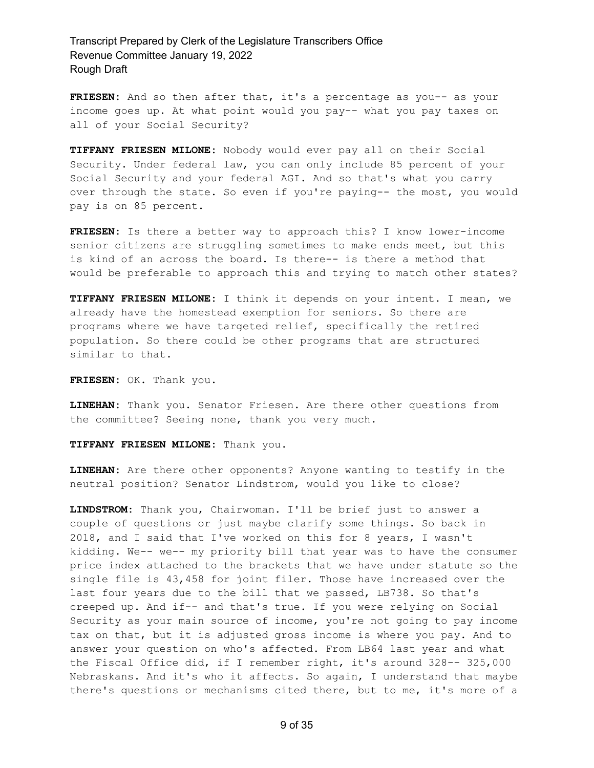FRIESEN: And so then after that, it's a percentage as you-- as your income goes up. At what point would you pay-- what you pay taxes on all of your Social Security?

**TIFFANY FRIESEN MILONE:** Nobody would ever pay all on their Social Security. Under federal law, you can only include 85 percent of your Social Security and your federal AGI. And so that's what you carry over through the state. So even if you're paying-- the most, you would pay is on 85 percent.

**FRIESEN:** Is there a better way to approach this? I know lower-income senior citizens are struggling sometimes to make ends meet, but this is kind of an across the board. Is there-- is there a method that would be preferable to approach this and trying to match other states?

**TIFFANY FRIESEN MILONE:** I think it depends on your intent. I mean, we already have the homestead exemption for seniors. So there are programs where we have targeted relief, specifically the retired population. So there could be other programs that are structured similar to that.

**FRIESEN:** OK. Thank you.

**LINEHAN:** Thank you. Senator Friesen. Are there other questions from the committee? Seeing none, thank you very much.

**TIFFANY FRIESEN MILONE:** Thank you.

**LINEHAN:** Are there other opponents? Anyone wanting to testify in the neutral position? Senator Lindstrom, would you like to close?

**LINDSTROM:** Thank you, Chairwoman. I'll be brief just to answer a couple of questions or just maybe clarify some things. So back in 2018, and I said that I've worked on this for 8 years, I wasn't kidding. We-- we-- my priority bill that year was to have the consumer price index attached to the brackets that we have under statute so the single file is 43,458 for joint filer. Those have increased over the last four years due to the bill that we passed, LB738. So that's creeped up. And if-- and that's true. If you were relying on Social Security as your main source of income, you're not going to pay income tax on that, but it is adjusted gross income is where you pay. And to answer your question on who's affected. From LB64 last year and what the Fiscal Office did, if I remember right, it's around 328-- 325,000 Nebraskans. And it's who it affects. So again, I understand that maybe there's questions or mechanisms cited there, but to me, it's more of a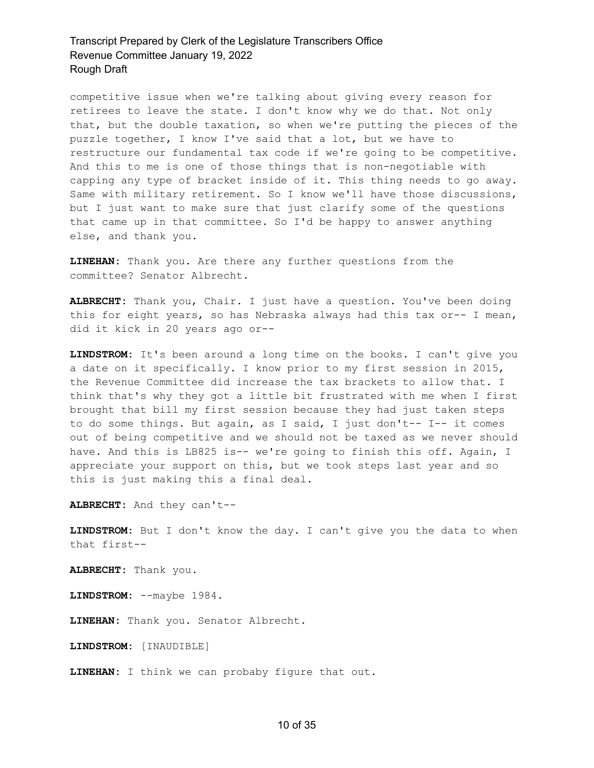competitive issue when we're talking about giving every reason for retirees to leave the state. I don't know why we do that. Not only that, but the double taxation, so when we're putting the pieces of the puzzle together, I know I've said that a lot, but we have to restructure our fundamental tax code if we're going to be competitive. And this to me is one of those things that is non-negotiable with capping any type of bracket inside of it. This thing needs to go away. Same with military retirement. So I know we'll have those discussions, but I just want to make sure that just clarify some of the questions that came up in that committee. So I'd be happy to answer anything else, and thank you.

**LINEHAN:** Thank you. Are there any further questions from the committee? Senator Albrecht.

**ALBRECHT:** Thank you, Chair. I just have a question. You've been doing this for eight years, so has Nebraska always had this tax or-- I mean, did it kick in 20 years ago or--

**LINDSTROM:** It's been around a long time on the books. I can't give you a date on it specifically. I know prior to my first session in 2015, the Revenue Committee did increase the tax brackets to allow that. I think that's why they got a little bit frustrated with me when I first brought that bill my first session because they had just taken steps to do some things. But again, as I said, I just don't-- I-- it comes out of being competitive and we should not be taxed as we never should have. And this is LB825 is-- we're going to finish this off. Again, I appreciate your support on this, but we took steps last year and so this is just making this a final deal.

**ALBRECHT:** And they can't--

**LINDSTROM:** But I don't know the day. I can't give you the data to when that first--

**ALBRECHT:** Thank you.

**LINDSTROM:** --maybe 1984.

**LINEHAN:** Thank you. Senator Albrecht.

**LINDSTROM:** [INAUDIBLE]

**LINEHAN:** I think we can probaby figure that out.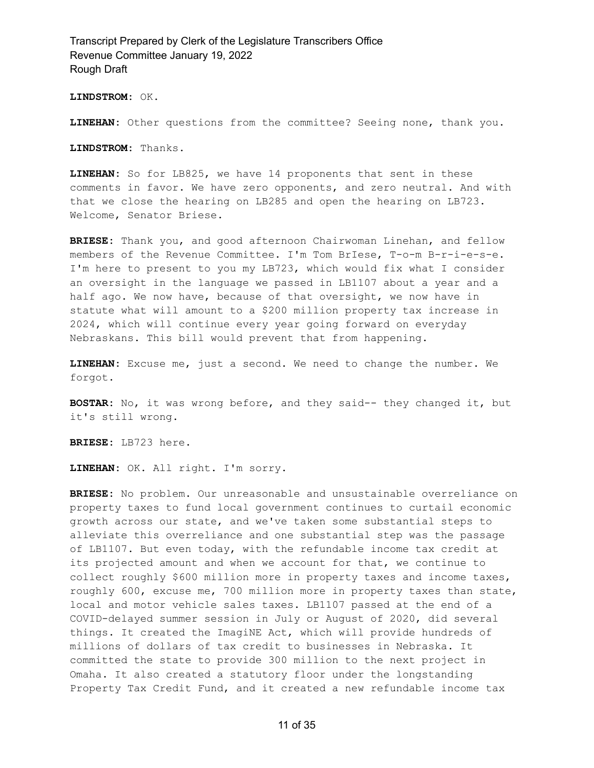**LINDSTROM:** OK.

**LINEHAN:** Other questions from the committee? Seeing none, thank you.

**LINDSTROM:** Thanks.

**LINEHAN:** So for LB825, we have 14 proponents that sent in these comments in favor. We have zero opponents, and zero neutral. And with that we close the hearing on LB285 and open the hearing on LB723. Welcome, Senator Briese.

**BRIESE:** Thank you, and good afternoon Chairwoman Linehan, and fellow members of the Revenue Committee. I'm Tom BrIese, T-o-m B-r-i-e-s-e. I'm here to present to you my LB723, which would fix what I consider an oversight in the language we passed in LB1107 about a year and a half ago. We now have, because of that oversight, we now have in statute what will amount to a \$200 million property tax increase in 2024, which will continue every year going forward on everyday Nebraskans. This bill would prevent that from happening.

**LINEHAN:** Excuse me, just a second. We need to change the number. We forgot.

**BOSTAR:** No, it was wrong before, and they said-- they changed it, but it's still wrong.

**BRIESE:** LB723 here.

**LINEHAN:** OK. All right. I'm sorry.

**BRIESE:** No problem. Our unreasonable and unsustainable overreliance on property taxes to fund local government continues to curtail economic growth across our state, and we've taken some substantial steps to alleviate this overreliance and one substantial step was the passage of LB1107. But even today, with the refundable income tax credit at its projected amount and when we account for that, we continue to collect roughly \$600 million more in property taxes and income taxes, roughly 600, excuse me, 700 million more in property taxes than state, local and motor vehicle sales taxes. LB1107 passed at the end of a COVID-delayed summer session in July or August of 2020, did several things. It created the ImagiNE Act, which will provide hundreds of millions of dollars of tax credit to businesses in Nebraska. It committed the state to provide 300 million to the next project in Omaha. It also created a statutory floor under the longstanding Property Tax Credit Fund, and it created a new refundable income tax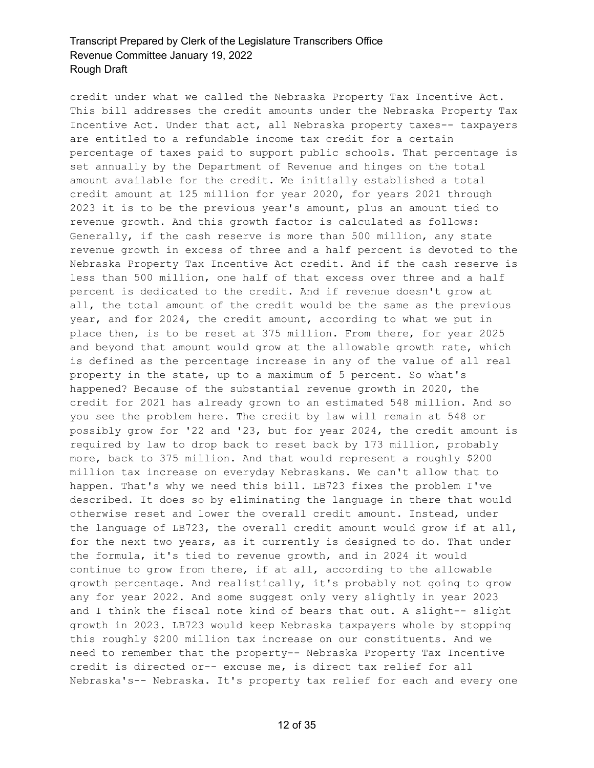credit under what we called the Nebraska Property Tax Incentive Act. This bill addresses the credit amounts under the Nebraska Property Tax Incentive Act. Under that act, all Nebraska property taxes-- taxpayers are entitled to a refundable income tax credit for a certain percentage of taxes paid to support public schools. That percentage is set annually by the Department of Revenue and hinges on the total amount available for the credit. We initially established a total credit amount at 125 million for year 2020, for years 2021 through 2023 it is to be the previous year's amount, plus an amount tied to revenue growth. And this growth factor is calculated as follows: Generally, if the cash reserve is more than 500 million, any state revenue growth in excess of three and a half percent is devoted to the Nebraska Property Tax Incentive Act credit. And if the cash reserve is less than 500 million, one half of that excess over three and a half percent is dedicated to the credit. And if revenue doesn't grow at all, the total amount of the credit would be the same as the previous year, and for 2024, the credit amount, according to what we put in place then, is to be reset at 375 million. From there, for year 2025 and beyond that amount would grow at the allowable growth rate, which is defined as the percentage increase in any of the value of all real property in the state, up to a maximum of 5 percent. So what's happened? Because of the substantial revenue growth in 2020, the credit for 2021 has already grown to an estimated 548 million. And so you see the problem here. The credit by law will remain at 548 or possibly grow for '22 and '23, but for year 2024, the credit amount is required by law to drop back to reset back by 173 million, probably more, back to 375 million. And that would represent a roughly \$200 million tax increase on everyday Nebraskans. We can't allow that to happen. That's why we need this bill. LB723 fixes the problem I've described. It does so by eliminating the language in there that would otherwise reset and lower the overall credit amount. Instead, under the language of LB723, the overall credit amount would grow if at all, for the next two years, as it currently is designed to do. That under the formula, it's tied to revenue growth, and in 2024 it would continue to grow from there, if at all, according to the allowable growth percentage. And realistically, it's probably not going to grow any for year 2022. And some suggest only very slightly in year 2023 and I think the fiscal note kind of bears that out. A slight-- slight growth in 2023. LB723 would keep Nebraska taxpayers whole by stopping this roughly \$200 million tax increase on our constituents. And we need to remember that the property-- Nebraska Property Tax Incentive credit is directed or-- excuse me, is direct tax relief for all Nebraska's-- Nebraska. It's property tax relief for each and every one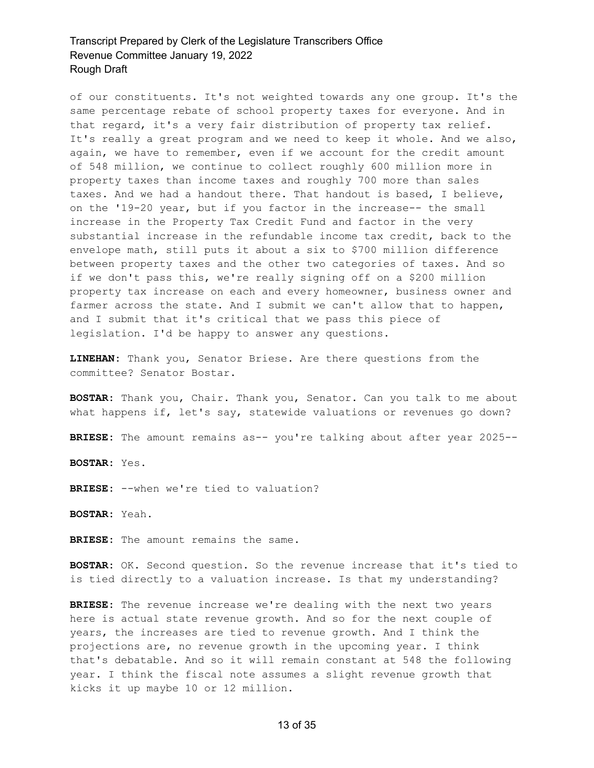of our constituents. It's not weighted towards any one group. It's the same percentage rebate of school property taxes for everyone. And in that regard, it's a very fair distribution of property tax relief. It's really a great program and we need to keep it whole. And we also, again, we have to remember, even if we account for the credit amount of 548 million, we continue to collect roughly 600 million more in property taxes than income taxes and roughly 700 more than sales taxes. And we had a handout there. That handout is based, I believe, on the '19-20 year, but if you factor in the increase-- the small increase in the Property Tax Credit Fund and factor in the very substantial increase in the refundable income tax credit, back to the envelope math, still puts it about a six to \$700 million difference between property taxes and the other two categories of taxes. And so if we don't pass this, we're really signing off on a \$200 million property tax increase on each and every homeowner, business owner and farmer across the state. And I submit we can't allow that to happen, and I submit that it's critical that we pass this piece of legislation. I'd be happy to answer any questions.

**LINEHAN:** Thank you, Senator Briese. Are there questions from the committee? Senator Bostar.

**BOSTAR:** Thank you, Chair. Thank you, Senator. Can you talk to me about what happens if, let's say, statewide valuations or revenues go down?

**BRIESE:** The amount remains as-- you're talking about after year 2025--

**BOSTAR:** Yes.

**BRIESE:** --when we're tied to valuation?

**BOSTAR:** Yeah.

**BRIESE:** The amount remains the same.

**BOSTAR:** OK. Second question. So the revenue increase that it's tied to is tied directly to a valuation increase. Is that my understanding?

**BRIESE:** The revenue increase we're dealing with the next two years here is actual state revenue growth. And so for the next couple of years, the increases are tied to revenue growth. And I think the projections are, no revenue growth in the upcoming year. I think that's debatable. And so it will remain constant at 548 the following year. I think the fiscal note assumes a slight revenue growth that kicks it up maybe 10 or 12 million.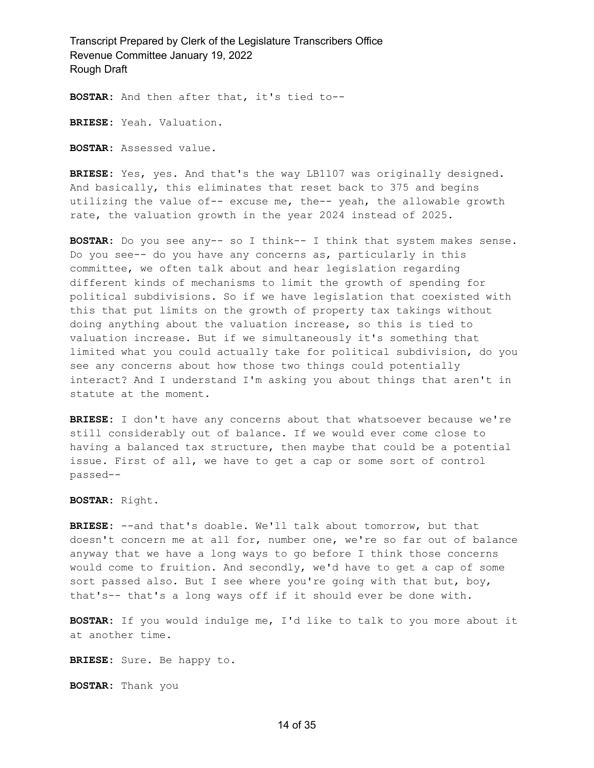**BOSTAR:** And then after that, it's tied to--

**BRIESE:** Yeah. Valuation.

**BOSTAR:** Assessed value.

**BRIESE:** Yes, yes. And that's the way LB1107 was originally designed. And basically, this eliminates that reset back to 375 and begins utilizing the value of-- excuse me, the-- yeah, the allowable growth rate, the valuation growth in the year 2024 instead of 2025.

**BOSTAR:** Do you see any-- so I think-- I think that system makes sense. Do you see-- do you have any concerns as, particularly in this committee, we often talk about and hear legislation regarding different kinds of mechanisms to limit the growth of spending for political subdivisions. So if we have legislation that coexisted with this that put limits on the growth of property tax takings without doing anything about the valuation increase, so this is tied to valuation increase. But if we simultaneously it's something that limited what you could actually take for political subdivision, do you see any concerns about how those two things could potentially interact? And I understand I'm asking you about things that aren't in statute at the moment.

**BRIESE:** I don't have any concerns about that whatsoever because we're still considerably out of balance. If we would ever come close to having a balanced tax structure, then maybe that could be a potential issue. First of all, we have to get a cap or some sort of control passed--

**BOSTAR:** Right.

**BRIESE:** --and that's doable. We'll talk about tomorrow, but that doesn't concern me at all for, number one, we're so far out of balance anyway that we have a long ways to go before I think those concerns would come to fruition. And secondly, we'd have to get a cap of some sort passed also. But I see where you're going with that but, boy, that's-- that's a long ways off if it should ever be done with.

**BOSTAR:** If you would indulge me, I'd like to talk to you more about it at another time.

**BRIESE:** Sure. Be happy to.

**BOSTAR:** Thank you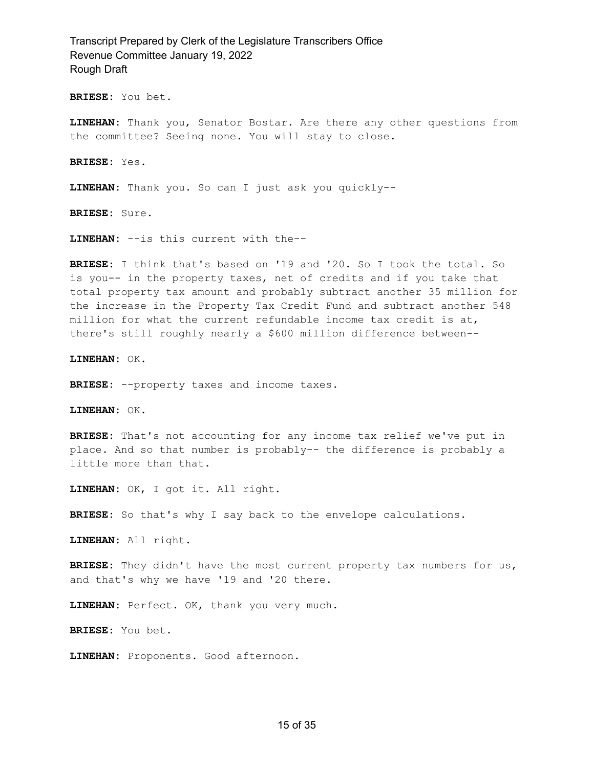**BRIESE:** You bet.

**LINEHAN:** Thank you, Senator Bostar. Are there any other questions from the committee? Seeing none. You will stay to close.

**BRIESE:** Yes.

**LINEHAN:** Thank you. So can I just ask you quickly--

**BRIESE:** Sure.

**LINEHAN:** --is this current with the--

**BRIESE:** I think that's based on '19 and '20. So I took the total. So is you-- in the property taxes, net of credits and if you take that total property tax amount and probably subtract another 35 million for the increase in the Property Tax Credit Fund and subtract another 548 million for what the current refundable income tax credit is at, there's still roughly nearly a \$600 million difference between--

**LINEHAN:** OK.

**BRIESE:** --property taxes and income taxes.

**LINEHAN:** OK.

**BRIESE:** That's not accounting for any income tax relief we've put in place. And so that number is probably-- the difference is probably a little more than that.

**LINEHAN:** OK, I got it. All right.

**BRIESE:** So that's why I say back to the envelope calculations.

**LINEHAN:** All right.

**BRIESE:** They didn't have the most current property tax numbers for us, and that's why we have '19 and '20 there.

**LINEHAN:** Perfect. OK, thank you very much.

**BRIESE:** You bet.

**LINEHAN:** Proponents. Good afternoon.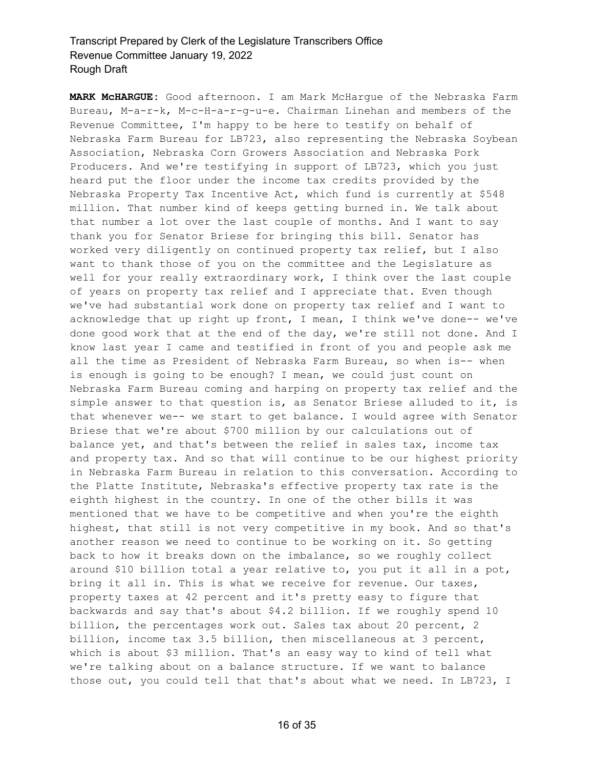**MARK McHARGUE:** Good afternoon. I am Mark McHargue of the Nebraska Farm Bureau, M-a-r-k, M-c-H-a-r-g-u-e. Chairman Linehan and members of the Revenue Committee, I'm happy to be here to testify on behalf of Nebraska Farm Bureau for LB723, also representing the Nebraska Soybean Association, Nebraska Corn Growers Association and Nebraska Pork Producers. And we're testifying in support of LB723, which you just heard put the floor under the income tax credits provided by the Nebraska Property Tax Incentive Act, which fund is currently at \$548 million. That number kind of keeps getting burned in. We talk about that number a lot over the last couple of months. And I want to say thank you for Senator Briese for bringing this bill. Senator has worked very diligently on continued property tax relief, but I also want to thank those of you on the committee and the Legislature as well for your really extraordinary work, I think over the last couple of years on property tax relief and I appreciate that. Even though we've had substantial work done on property tax relief and I want to acknowledge that up right up front, I mean, I think we've done-- we've done good work that at the end of the day, we're still not done. And I know last year I came and testified in front of you and people ask me all the time as President of Nebraska Farm Bureau, so when is-- when is enough is going to be enough? I mean, we could just count on Nebraska Farm Bureau coming and harping on property tax relief and the simple answer to that question is, as Senator Briese alluded to it, is that whenever we-- we start to get balance. I would agree with Senator Briese that we're about \$700 million by our calculations out of balance yet, and that's between the relief in sales tax, income tax and property tax. And so that will continue to be our highest priority in Nebraska Farm Bureau in relation to this conversation. According to the Platte Institute, Nebraska's effective property tax rate is the eighth highest in the country. In one of the other bills it was mentioned that we have to be competitive and when you're the eighth highest, that still is not very competitive in my book. And so that's another reason we need to continue to be working on it. So getting back to how it breaks down on the imbalance, so we roughly collect around \$10 billion total a year relative to, you put it all in a pot, bring it all in. This is what we receive for revenue. Our taxes, property taxes at 42 percent and it's pretty easy to figure that backwards and say that's about \$4.2 billion. If we roughly spend 10 billion, the percentages work out. Sales tax about 20 percent, 2 billion, income tax 3.5 billion, then miscellaneous at 3 percent, which is about \$3 million. That's an easy way to kind of tell what we're talking about on a balance structure. If we want to balance those out, you could tell that that's about what we need. In LB723, I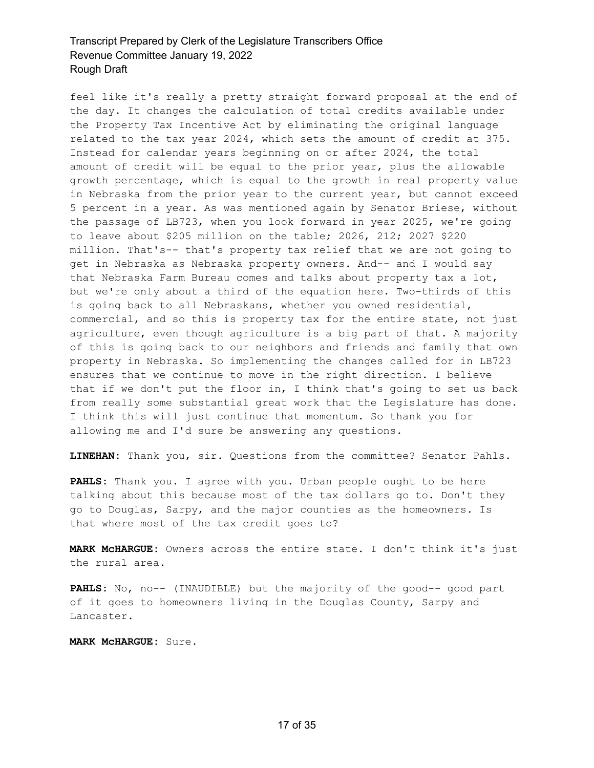feel like it's really a pretty straight forward proposal at the end of the day. It changes the calculation of total credits available under the Property Tax Incentive Act by eliminating the original language related to the tax year 2024, which sets the amount of credit at 375. Instead for calendar years beginning on or after 2024, the total amount of credit will be equal to the prior year, plus the allowable growth percentage, which is equal to the growth in real property value in Nebraska from the prior year to the current year, but cannot exceed 5 percent in a year. As was mentioned again by Senator Briese, without the passage of LB723, when you look forward in year 2025, we're going to leave about \$205 million on the table; 2026, 212; 2027 \$220 million. That's-- that's property tax relief that we are not going to get in Nebraska as Nebraska property owners. And-- and I would say that Nebraska Farm Bureau comes and talks about property tax a lot, but we're only about a third of the equation here. Two-thirds of this is going back to all Nebraskans, whether you owned residential, commercial, and so this is property tax for the entire state, not just agriculture, even though agriculture is a big part of that. A majority of this is going back to our neighbors and friends and family that own property in Nebraska. So implementing the changes called for in LB723 ensures that we continue to move in the right direction. I believe that if we don't put the floor in, I think that's going to set us back from really some substantial great work that the Legislature has done. I think this will just continue that momentum. So thank you for allowing me and I'd sure be answering any questions.

**LINEHAN:** Thank you, sir. Questions from the committee? Senator Pahls.

**PAHLS:** Thank you. I agree with you. Urban people ought to be here talking about this because most of the tax dollars go to. Don't they go to Douglas, Sarpy, and the major counties as the homeowners. Is that where most of the tax credit goes to?

**MARK McHARGUE:** Owners across the entire state. I don't think it's just the rural area.

**PAHLS:** No, no-- (INAUDIBLE) but the majority of the good-- good part of it goes to homeowners living in the Douglas County, Sarpy and Lancaster.

**MARK McHARGUE:** Sure.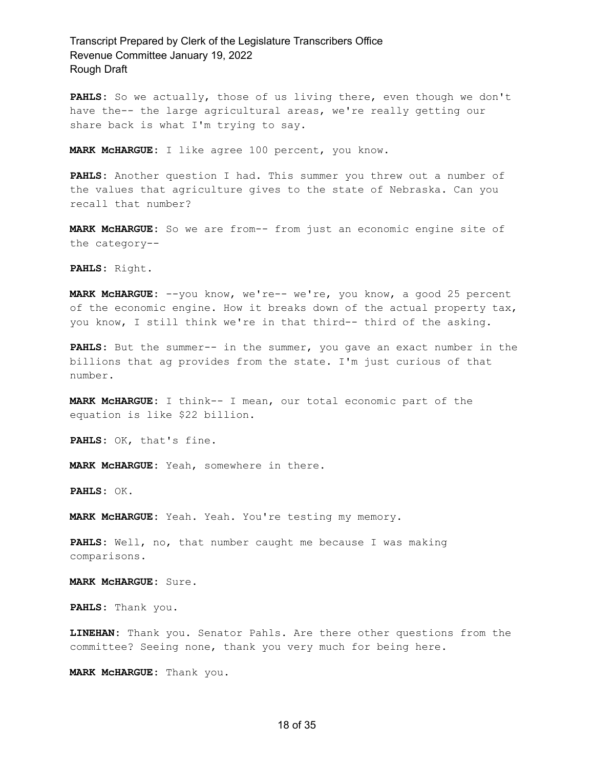PAHLS: So we actually, those of us living there, even though we don't have the-- the large agricultural areas, we're really getting our share back is what I'm trying to say.

**MARK McHARGUE:** I like agree 100 percent, you know.

**PAHLS:** Another question I had. This summer you threw out a number of the values that agriculture gives to the state of Nebraska. Can you recall that number?

**MARK McHARGUE:** So we are from-- from just an economic engine site of the category--

**PAHLS:** Right.

**MARK McHARGUE:** --you know, we're-- we're, you know, a good 25 percent of the economic engine. How it breaks down of the actual property tax, you know, I still think we're in that third-- third of the asking.

**PAHLS:** But the summer-- in the summer, you gave an exact number in the billions that ag provides from the state. I'm just curious of that number.

**MARK McHARGUE:** I think-- I mean, our total economic part of the equation is like \$22 billion.

**PAHLS:** OK, that's fine.

**MARK McHARGUE:** Yeah, somewhere in there.

**PAHLS:** OK.

**MARK McHARGUE:** Yeah. Yeah. You're testing my memory.

**PAHLS:** Well, no, that number caught me because I was making comparisons.

**MARK McHARGUE:** Sure.

**PAHLS:** Thank you.

**LINEHAN:** Thank you. Senator Pahls. Are there other questions from the committee? Seeing none, thank you very much for being here.

**MARK McHARGUE:** Thank you.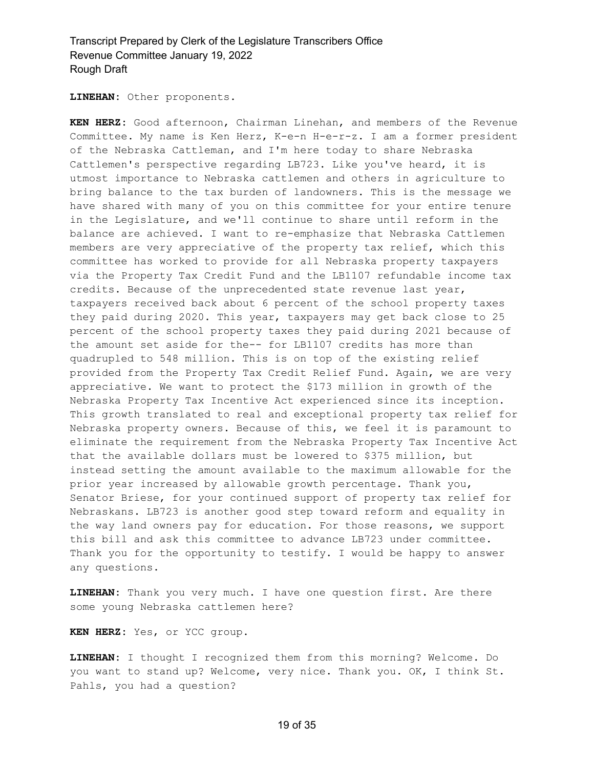**LINEHAN:** Other proponents.

**KEN HERZ:** Good afternoon, Chairman Linehan, and members of the Revenue Committee. My name is Ken Herz, K-e-n H-e-r-z. I am a former president of the Nebraska Cattleman, and I'm here today to share Nebraska Cattlemen's perspective regarding LB723. Like you've heard, it is utmost importance to Nebraska cattlemen and others in agriculture to bring balance to the tax burden of landowners. This is the message we have shared with many of you on this committee for your entire tenure in the Legislature, and we'll continue to share until reform in the balance are achieved. I want to re-emphasize that Nebraska Cattlemen members are very appreciative of the property tax relief, which this committee has worked to provide for all Nebraska property taxpayers via the Property Tax Credit Fund and the LB1107 refundable income tax credits. Because of the unprecedented state revenue last year, taxpayers received back about 6 percent of the school property taxes they paid during 2020. This year, taxpayers may get back close to 25 percent of the school property taxes they paid during 2021 because of the amount set aside for the-- for LB1107 credits has more than quadrupled to 548 million. This is on top of the existing relief provided from the Property Tax Credit Relief Fund. Again, we are very appreciative. We want to protect the \$173 million in growth of the Nebraska Property Tax Incentive Act experienced since its inception. This growth translated to real and exceptional property tax relief for Nebraska property owners. Because of this, we feel it is paramount to eliminate the requirement from the Nebraska Property Tax Incentive Act that the available dollars must be lowered to \$375 million, but instead setting the amount available to the maximum allowable for the prior year increased by allowable growth percentage. Thank you, Senator Briese, for your continued support of property tax relief for Nebraskans. LB723 is another good step toward reform and equality in the way land owners pay for education. For those reasons, we support this bill and ask this committee to advance LB723 under committee. Thank you for the opportunity to testify. I would be happy to answer any questions.

**LINEHAN:** Thank you very much. I have one question first. Are there some young Nebraska cattlemen here?

**KEN HERZ:** Yes, or YCC group.

**LINEHAN:** I thought I recognized them from this morning? Welcome. Do you want to stand up? Welcome, very nice. Thank you. OK, I think St. Pahls, you had a question?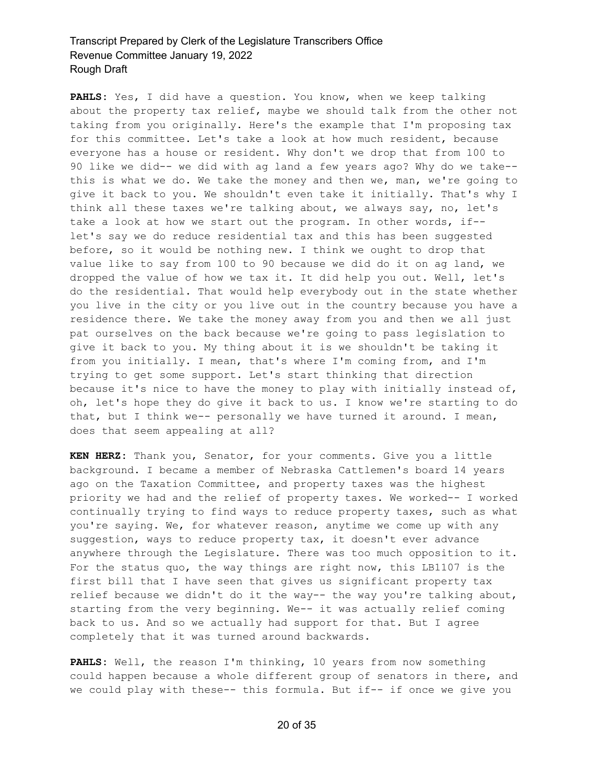**PAHLS:** Yes, I did have a question. You know, when we keep talking about the property tax relief, maybe we should talk from the other not taking from you originally. Here's the example that I'm proposing tax for this committee. Let's take a look at how much resident, because everyone has a house or resident. Why don't we drop that from 100 to 90 like we did-- we did with ag land a few years ago? Why do we take- this is what we do. We take the money and then we, man, we're going to give it back to you. We shouldn't even take it initially. That's why I think all these taxes we're talking about, we always say, no, let's take a look at how we start out the program. In other words, if- let's say we do reduce residential tax and this has been suggested before, so it would be nothing new. I think we ought to drop that value like to say from 100 to 90 because we did do it on ag land, we dropped the value of how we tax it. It did help you out. Well, let's do the residential. That would help everybody out in the state whether you live in the city or you live out in the country because you have a residence there. We take the money away from you and then we all just pat ourselves on the back because we're going to pass legislation to give it back to you. My thing about it is we shouldn't be taking it from you initially. I mean, that's where I'm coming from, and I'm trying to get some support. Let's start thinking that direction because it's nice to have the money to play with initially instead of, oh, let's hope they do give it back to us. I know we're starting to do that, but I think we-- personally we have turned it around. I mean, does that seem appealing at all?

**KEN HERZ:** Thank you, Senator, for your comments. Give you a little background. I became a member of Nebraska Cattlemen's board 14 years ago on the Taxation Committee, and property taxes was the highest priority we had and the relief of property taxes. We worked-- I worked continually trying to find ways to reduce property taxes, such as what you're saying. We, for whatever reason, anytime we come up with any suggestion, ways to reduce property tax, it doesn't ever advance anywhere through the Legislature. There was too much opposition to it. For the status quo, the way things are right now, this LB1107 is the first bill that I have seen that gives us significant property tax relief because we didn't do it the way-- the way you're talking about, starting from the very beginning. We-- it was actually relief coming back to us. And so we actually had support for that. But I agree completely that it was turned around backwards.

**PAHLS:** Well, the reason I'm thinking, 10 years from now something could happen because a whole different group of senators in there, and we could play with these-- this formula. But if-- if once we give you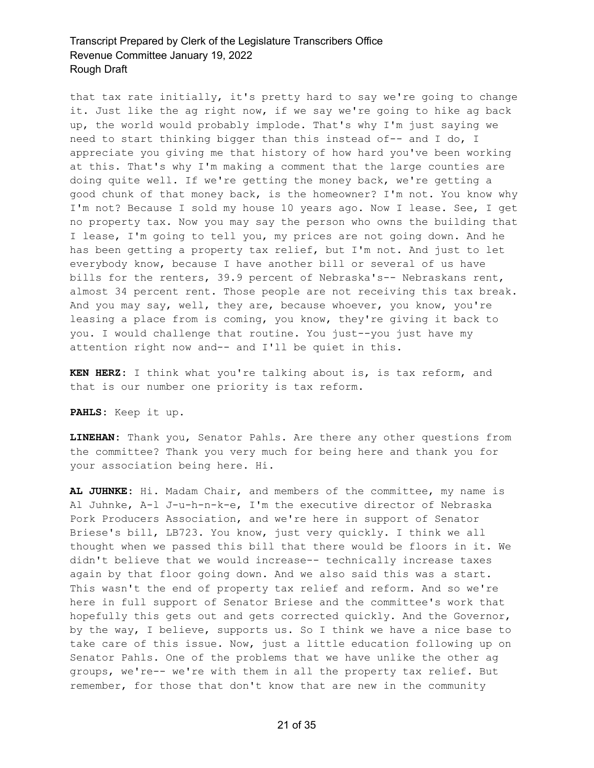that tax rate initially, it's pretty hard to say we're going to change it. Just like the ag right now, if we say we're going to hike ag back up, the world would probably implode. That's why I'm just saying we need to start thinking bigger than this instead of-- and I do, I appreciate you giving me that history of how hard you've been working at this. That's why I'm making a comment that the large counties are doing quite well. If we're getting the money back, we're getting a good chunk of that money back, is the homeowner? I'm not. You know why I'm not? Because I sold my house 10 years ago. Now I lease. See, I get no property tax. Now you may say the person who owns the building that I lease, I'm going to tell you, my prices are not going down. And he has been getting a property tax relief, but I'm not. And just to let everybody know, because I have another bill or several of us have bills for the renters, 39.9 percent of Nebraska's-- Nebraskans rent, almost 34 percent rent. Those people are not receiving this tax break. And you may say, well, they are, because whoever, you know, you're leasing a place from is coming, you know, they're giving it back to you. I would challenge that routine. You just--you just have my attention right now and-- and I'll be quiet in this.

**KEN HERZ:** I think what you're talking about is, is tax reform, and that is our number one priority is tax reform.

**PAHLS:** Keep it up.

**LINEHAN:** Thank you, Senator Pahls. Are there any other questions from the committee? Thank you very much for being here and thank you for your association being here. Hi.

**AL JUHNKE:** Hi. Madam Chair, and members of the committee, my name is Al Juhnke, A-l J-u-h-n-k-e, I'm the executive director of Nebraska Pork Producers Association, and we're here in support of Senator Briese's bill, LB723. You know, just very quickly. I think we all thought when we passed this bill that there would be floors in it. We didn't believe that we would increase-- technically increase taxes again by that floor going down. And we also said this was a start. This wasn't the end of property tax relief and reform. And so we're here in full support of Senator Briese and the committee's work that hopefully this gets out and gets corrected quickly. And the Governor, by the way, I believe, supports us. So I think we have a nice base to take care of this issue. Now, just a little education following up on Senator Pahls. One of the problems that we have unlike the other ag groups, we're-- we're with them in all the property tax relief. But remember, for those that don't know that are new in the community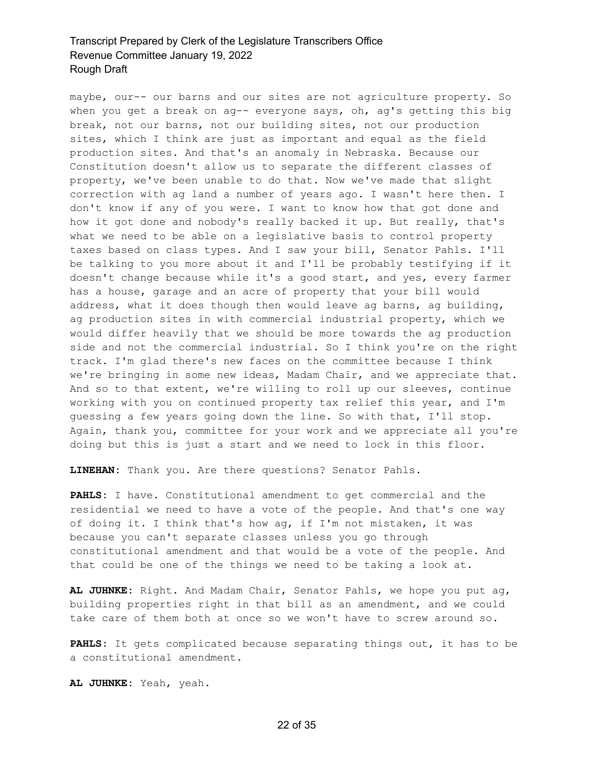maybe, our-- our barns and our sites are not agriculture property. So when you get a break on ag-- everyone says, oh, ag's getting this big break, not our barns, not our building sites, not our production sites, which I think are just as important and equal as the field production sites. And that's an anomaly in Nebraska. Because our Constitution doesn't allow us to separate the different classes of property, we've been unable to do that. Now we've made that slight correction with ag land a number of years ago. I wasn't here then. I don't know if any of you were. I want to know how that got done and how it got done and nobody's really backed it up. But really, that's what we need to be able on a legislative basis to control property taxes based on class types. And I saw your bill, Senator Pahls. I'll be talking to you more about it and I'll be probably testifying if it doesn't change because while it's a good start, and yes, every farmer has a house, garage and an acre of property that your bill would address, what it does though then would leave ag barns, ag building, ag production sites in with commercial industrial property, which we would differ heavily that we should be more towards the ag production side and not the commercial industrial. So I think you're on the right track. I'm glad there's new faces on the committee because I think we're bringing in some new ideas, Madam Chair, and we appreciate that. And so to that extent, we're willing to roll up our sleeves, continue working with you on continued property tax relief this year, and I'm guessing a few years going down the line. So with that, I'll stop. Again, thank you, committee for your work and we appreciate all you're doing but this is just a start and we need to lock in this floor.

**LINEHAN:** Thank you. Are there questions? Senator Pahls.

**PAHLS:** I have. Constitutional amendment to get commercial and the residential we need to have a vote of the people. And that's one way of doing it. I think that's how ag, if I'm not mistaken, it was because you can't separate classes unless you go through constitutional amendment and that would be a vote of the people. And that could be one of the things we need to be taking a look at.

**AL JUHNKE:** Right. And Madam Chair, Senator Pahls, we hope you put ag, building properties right in that bill as an amendment, and we could take care of them both at once so we won't have to screw around so.

**PAHLS:** It gets complicated because separating things out, it has to be a constitutional amendment.

**AL JUHNKE:** Yeah, yeah.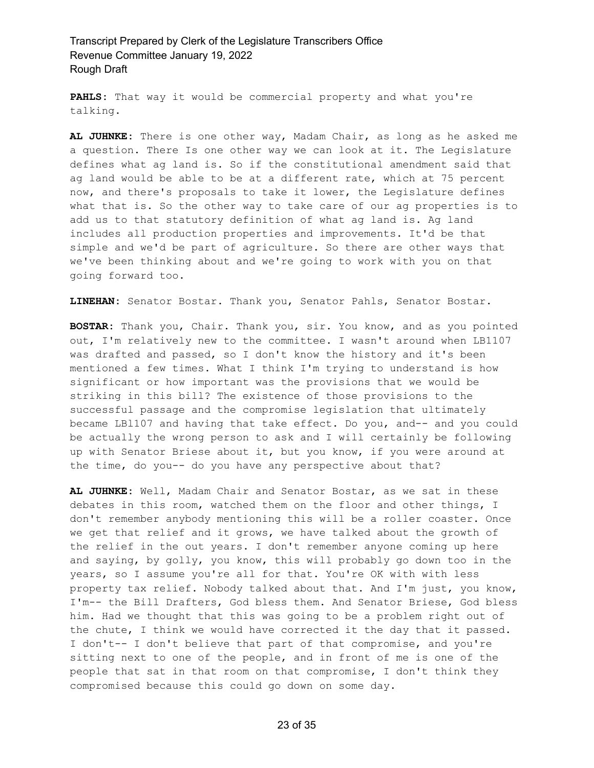**PAHLS:** That way it would be commercial property and what you're talking.

**AL JUHNKE:** There is one other way, Madam Chair, as long as he asked me a question. There Is one other way we can look at it. The Legislature defines what ag land is. So if the constitutional amendment said that ag land would be able to be at a different rate, which at 75 percent now, and there's proposals to take it lower, the Legislature defines what that is. So the other way to take care of our ag properties is to add us to that statutory definition of what ag land is. Ag land includes all production properties and improvements. It'd be that simple and we'd be part of agriculture. So there are other ways that we've been thinking about and we're going to work with you on that going forward too.

**LINEHAN:** Senator Bostar. Thank you, Senator Pahls, Senator Bostar.

**BOSTAR:** Thank you, Chair. Thank you, sir. You know, and as you pointed out, I'm relatively new to the committee. I wasn't around when LB1107 was drafted and passed, so I don't know the history and it's been mentioned a few times. What I think I'm trying to understand is how significant or how important was the provisions that we would be striking in this bill? The existence of those provisions to the successful passage and the compromise legislation that ultimately became LBl107 and having that take effect. Do you, and-- and you could be actually the wrong person to ask and I will certainly be following up with Senator Briese about it, but you know, if you were around at the time, do you-- do you have any perspective about that?

**AL JUHNKE:** Well, Madam Chair and Senator Bostar, as we sat in these debates in this room, watched them on the floor and other things, I don't remember anybody mentioning this will be a roller coaster. Once we get that relief and it grows, we have talked about the growth of the relief in the out years. I don't remember anyone coming up here and saying, by golly, you know, this will probably go down too in the years, so I assume you're all for that. You're OK with with less property tax relief. Nobody talked about that. And I'm just, you know, I'm-- the Bill Drafters, God bless them. And Senator Briese, God bless him. Had we thought that this was going to be a problem right out of the chute, I think we would have corrected it the day that it passed. I don't-- I don't believe that part of that compromise, and you're sitting next to one of the people, and in front of me is one of the people that sat in that room on that compromise, I don't think they compromised because this could go down on some day.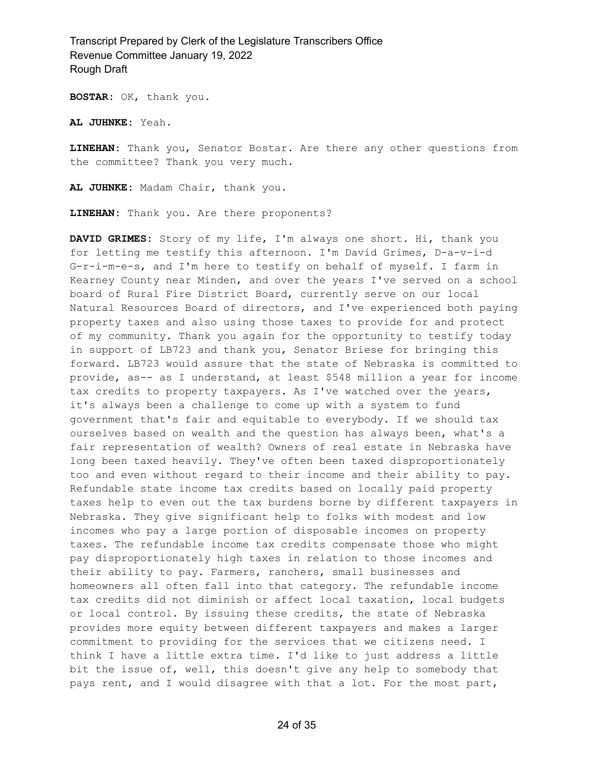**BOSTAR:** OK, thank you.

**AL JUHNKE:** Yeah.

**LINEHAN:** Thank you, Senator Bostar. Are there any other questions from the committee? Thank you very much.

**AL JUHNKE:** Madam Chair, thank you.

**LINEHAN:** Thank you. Are there proponents?

**DAVID GRIMES:** Story of my life, I'm always one short. Hi, thank you for letting me testify this afternoon. I'm David Grimes, D-a-v-i-d G-r-i-m-e-s, and I'm here to testify on behalf of myself. I farm in Kearney County near Minden, and over the years I've served on a school board of Rural Fire District Board, currently serve on our local Natural Resources Board of directors, and I've experienced both paying property taxes and also using those taxes to provide for and protect of my community. Thank you again for the opportunity to testify today in support of LB723 and thank you, Senator Briese for bringing this forward. LB723 would assure that the state of Nebraska is committed to provide, as-- as I understand, at least \$548 million a year for income tax credits to property taxpayers. As I've watched over the years, it's always been a challenge to come up with a system to fund government that's fair and equitable to everybody. If we should tax ourselves based on wealth and the question has always been, what's a fair representation of wealth? Owners of real estate in Nebraska have long been taxed heavily. They've often been taxed disproportionately too and even without regard to their income and their ability to pay. Refundable state income tax credits based on locally paid property taxes help to even out the tax burdens borne by different taxpayers in Nebraska. They give significant help to folks with modest and low incomes who pay a large portion of disposable incomes on property taxes. The refundable income tax credits compensate those who might pay disproportionately high taxes in relation to those incomes and their ability to pay. Farmers, ranchers, small businesses and homeowners all often fall into that category. The refundable income tax credits did not diminish or affect local taxation, local budgets or local control. By issuing these credits, the state of Nebraska provides more equity between different taxpayers and makes a larger commitment to providing for the services that we citizens need. I think I have a little extra time. I'd like to just address a little bit the issue of, well, this doesn't give any help to somebody that pays rent, and I would disagree with that a lot. For the most part,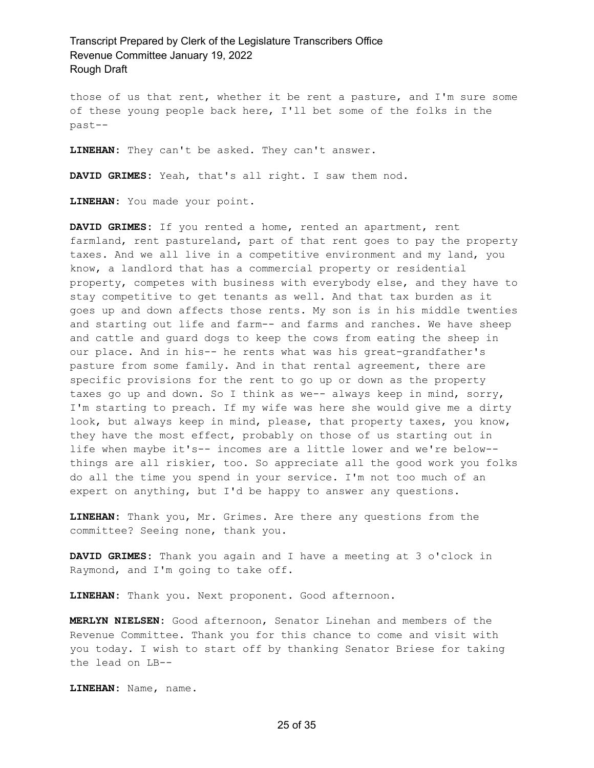those of us that rent, whether it be rent a pasture, and I'm sure some of these young people back here, I'll bet some of the folks in the past--

**LINEHAN:** They can't be asked. They can't answer.

**DAVID GRIMES:** Yeah, that's all right. I saw them nod.

**LINEHAN:** You made your point.

**DAVID GRIMES:** If you rented a home, rented an apartment, rent farmland, rent pastureland, part of that rent goes to pay the property taxes. And we all live in a competitive environment and my land, you know, a landlord that has a commercial property or residential property, competes with business with everybody else, and they have to stay competitive to get tenants as well. And that tax burden as it goes up and down affects those rents. My son is in his middle twenties and starting out life and farm-- and farms and ranches. We have sheep and cattle and guard dogs to keep the cows from eating the sheep in our place. And in his-- he rents what was his great-grandfather's pasture from some family. And in that rental agreement, there are specific provisions for the rent to go up or down as the property taxes go up and down. So I think as we-- always keep in mind, sorry, I'm starting to preach. If my wife was here she would give me a dirty look, but always keep in mind, please, that property taxes, you know, they have the most effect, probably on those of us starting out in life when maybe it's-- incomes are a little lower and we're below- things are all riskier, too. So appreciate all the good work you folks do all the time you spend in your service. I'm not too much of an expert on anything, but I'd be happy to answer any questions.

**LINEHAN:** Thank you, Mr. Grimes. Are there any questions from the committee? Seeing none, thank you.

**DAVID GRIMES:** Thank you again and I have a meeting at 3 o'clock in Raymond, and I'm going to take off.

**LINEHAN:** Thank you. Next proponent. Good afternoon.

**MERLYN NIELSEN:** Good afternoon, Senator Linehan and members of the Revenue Committee. Thank you for this chance to come and visit with you today. I wish to start off by thanking Senator Briese for taking the lead on LB--

**LINEHAN:** Name, name.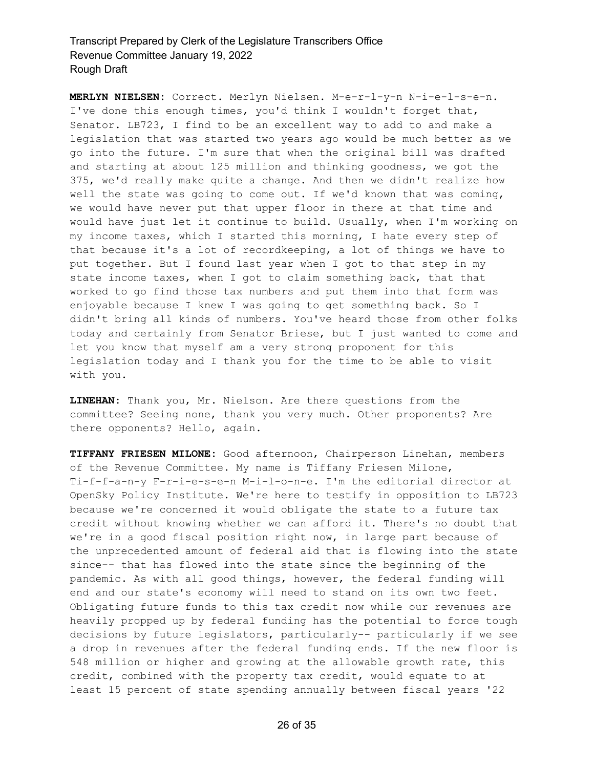**MERLYN NIELSEN:** Correct. Merlyn Nielsen. M-e-r-l-y-n N-i-e-l-s-e-n. I've done this enough times, you'd think I wouldn't forget that, Senator. LB723, I find to be an excellent way to add to and make a legislation that was started two years ago would be much better as we go into the future. I'm sure that when the original bill was drafted and starting at about 125 million and thinking goodness, we got the 375, we'd really make quite a change. And then we didn't realize how well the state was going to come out. If we'd known that was coming, we would have never put that upper floor in there at that time and would have just let it continue to build. Usually, when I'm working on my income taxes, which I started this morning, I hate every step of that because it's a lot of recordkeeping, a lot of things we have to put together. But I found last year when I got to that step in my state income taxes, when I got to claim something back, that that worked to go find those tax numbers and put them into that form was enjoyable because I knew I was going to get something back. So I didn't bring all kinds of numbers. You've heard those from other folks today and certainly from Senator Briese, but I just wanted to come and let you know that myself am a very strong proponent for this legislation today and I thank you for the time to be able to visit with you.

**LINEHAN:** Thank you, Mr. Nielson. Are there questions from the committee? Seeing none, thank you very much. Other proponents? Are there opponents? Hello, again.

**TIFFANY FRIESEN MILONE:** Good afternoon, Chairperson Linehan, members of the Revenue Committee. My name is Tiffany Friesen Milone, Ti-f-f-a-n-y F-r-i-e-s-e-n M-i-l-o-n-e. I'm the editorial director at OpenSky Policy Institute. We're here to testify in opposition to LB723 because we're concerned it would obligate the state to a future tax credit without knowing whether we can afford it. There's no doubt that we're in a good fiscal position right now, in large part because of the unprecedented amount of federal aid that is flowing into the state since-- that has flowed into the state since the beginning of the pandemic. As with all good things, however, the federal funding will end and our state's economy will need to stand on its own two feet. Obligating future funds to this tax credit now while our revenues are heavily propped up by federal funding has the potential to force tough decisions by future legislators, particularly-- particularly if we see a drop in revenues after the federal funding ends. If the new floor is 548 million or higher and growing at the allowable growth rate, this credit, combined with the property tax credit, would equate to at least 15 percent of state spending annually between fiscal years '22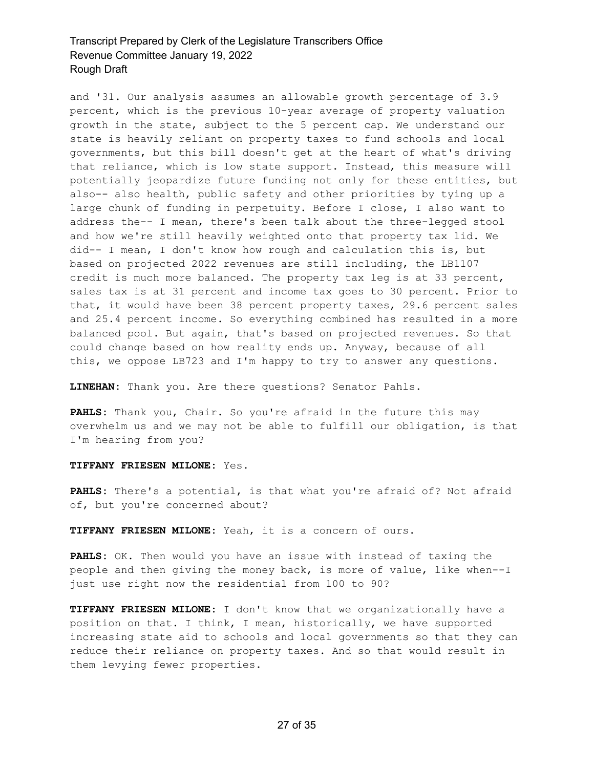and '31. Our analysis assumes an allowable growth percentage of 3.9 percent, which is the previous 10-year average of property valuation growth in the state, subject to the 5 percent cap. We understand our state is heavily reliant on property taxes to fund schools and local governments, but this bill doesn't get at the heart of what's driving that reliance, which is low state support. Instead, this measure will potentially jeopardize future funding not only for these entities, but also-- also health, public safety and other priorities by tying up a large chunk of funding in perpetuity. Before I close, I also want to address the-- I mean, there's been talk about the three-legged stool and how we're still heavily weighted onto that property tax lid. We did-- I mean, I don't know how rough and calculation this is, but based on projected 2022 revenues are still including, the LB1107 credit is much more balanced. The property tax leg is at 33 percent, sales tax is at 31 percent and income tax goes to 30 percent. Prior to that, it would have been 38 percent property taxes, 29.6 percent sales and 25.4 percent income. So everything combined has resulted in a more balanced pool. But again, that's based on projected revenues. So that could change based on how reality ends up. Anyway, because of all this, we oppose LB723 and I'm happy to try to answer any questions.

**LINEHAN:** Thank you. Are there questions? Senator Pahls.

**PAHLS:** Thank you, Chair. So you're afraid in the future this may overwhelm us and we may not be able to fulfill our obligation, is that I'm hearing from you?

#### **TIFFANY FRIESEN MILONE:** Yes.

**PAHLS:** There's a potential, is that what you're afraid of? Not afraid of, but you're concerned about?

**TIFFANY FRIESEN MILONE:** Yeah, it is a concern of ours.

**PAHLS:** OK. Then would you have an issue with instead of taxing the people and then giving the money back, is more of value, like when--I just use right now the residential from 100 to 90?

**TIFFANY FRIESEN MILONE:** I don't know that we organizationally have a position on that. I think, I mean, historically, we have supported increasing state aid to schools and local governments so that they can reduce their reliance on property taxes. And so that would result in them levying fewer properties.

#### 27 of 35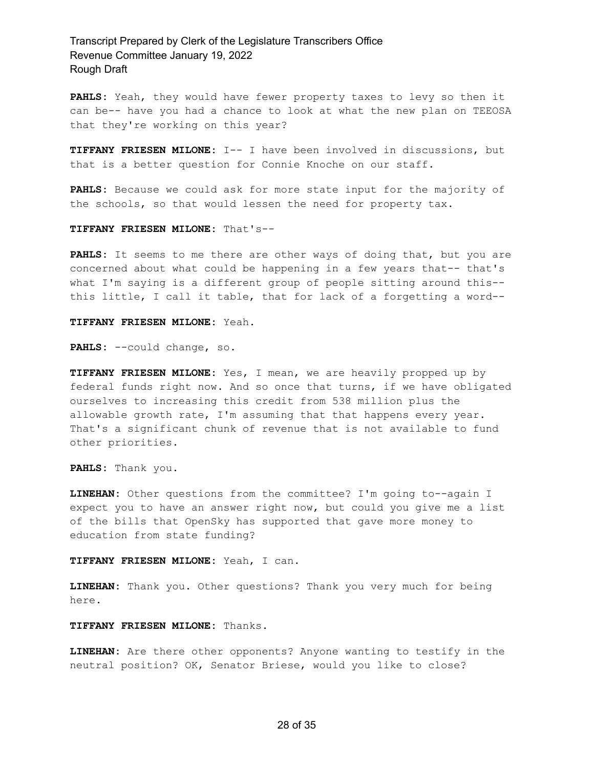**PAHLS:** Yeah, they would have fewer property taxes to levy so then it can be-- have you had a chance to look at what the new plan on TEEOSA that they're working on this year?

**TIFFANY FRIESEN MILONE:** I-- I have been involved in discussions, but that is a better question for Connie Knoche on our staff.

**PAHLS:** Because we could ask for more state input for the majority of the schools, so that would lessen the need for property tax.

#### **TIFFANY FRIESEN MILONE:** That's--

**PAHLS:** It seems to me there are other ways of doing that, but you are concerned about what could be happening in a few years that-- that's what I'm saying is a different group of people sitting around this- this little, I call it table, that for lack of a forgetting a word--

#### **TIFFANY FRIESEN MILONE:** Yeah.

**PAHLS:** --could change, so.

**TIFFANY FRIESEN MILONE:** Yes, I mean, we are heavily propped up by federal funds right now. And so once that turns, if we have obligated ourselves to increasing this credit from 538 million plus the allowable growth rate, I'm assuming that that happens every year. That's a significant chunk of revenue that is not available to fund other priorities.

**PAHLS:** Thank you.

**LINEHAN:** Other questions from the committee? I'm going to--again I expect you to have an answer right now, but could you give me a list of the bills that OpenSky has supported that gave more money to education from state funding?

#### **TIFFANY FRIESEN MILONE:** Yeah, I can.

**LINEHAN:** Thank you. Other questions? Thank you very much for being here.

#### **TIFFANY FRIESEN MILONE:** Thanks.

**LINEHAN:** Are there other opponents? Anyone wanting to testify in the neutral position? OK, Senator Briese, would you like to close?

#### 28 of 35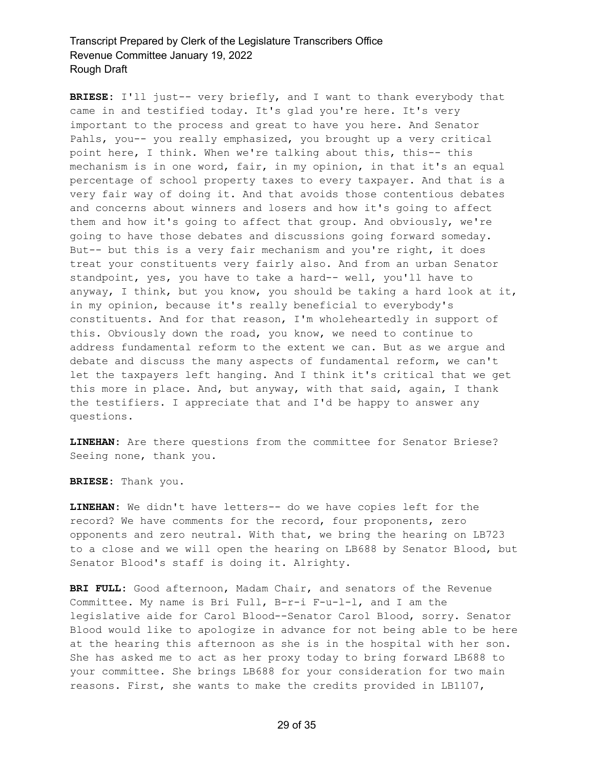**BRIESE:** I'll just-- very briefly, and I want to thank everybody that came in and testified today. It's glad you're here. It's very important to the process and great to have you here. And Senator Pahls, you-- you really emphasized, you brought up a very critical point here, I think. When we're talking about this, this-- this mechanism is in one word, fair, in my opinion, in that it's an equal percentage of school property taxes to every taxpayer. And that is a very fair way of doing it. And that avoids those contentious debates and concerns about winners and losers and how it's going to affect them and how it's going to affect that group. And obviously, we're going to have those debates and discussions going forward someday. But-- but this is a very fair mechanism and you're right, it does treat your constituents very fairly also. And from an urban Senator standpoint, yes, you have to take a hard-- well, you'll have to anyway, I think, but you know, you should be taking a hard look at it, in my opinion, because it's really beneficial to everybody's constituents. And for that reason, I'm wholeheartedly in support of this. Obviously down the road, you know, we need to continue to address fundamental reform to the extent we can. But as we argue and debate and discuss the many aspects of fundamental reform, we can't let the taxpayers left hanging. And I think it's critical that we get this more in place. And, but anyway, with that said, again, I thank the testifiers. I appreciate that and I'd be happy to answer any questions.

**LINEHAN:** Are there questions from the committee for Senator Briese? Seeing none, thank you.

**BRIESE:** Thank you.

**LINEHAN:** We didn't have letters-- do we have copies left for the record? We have comments for the record, four proponents, zero opponents and zero neutral. With that, we bring the hearing on LB723 to a close and we will open the hearing on LB688 by Senator Blood, but Senator Blood's staff is doing it. Alrighty.

**BRI FULL:** Good afternoon, Madam Chair, and senators of the Revenue Committee. My name is Bri Full, B-r-i F-u-l-l, and I am the legislative aide for Carol Blood--Senator Carol Blood, sorry. Senator Blood would like to apologize in advance for not being able to be here at the hearing this afternoon as she is in the hospital with her son. She has asked me to act as her proxy today to bring forward LB688 to your committee. She brings LB688 for your consideration for two main reasons. First, she wants to make the credits provided in LB1107,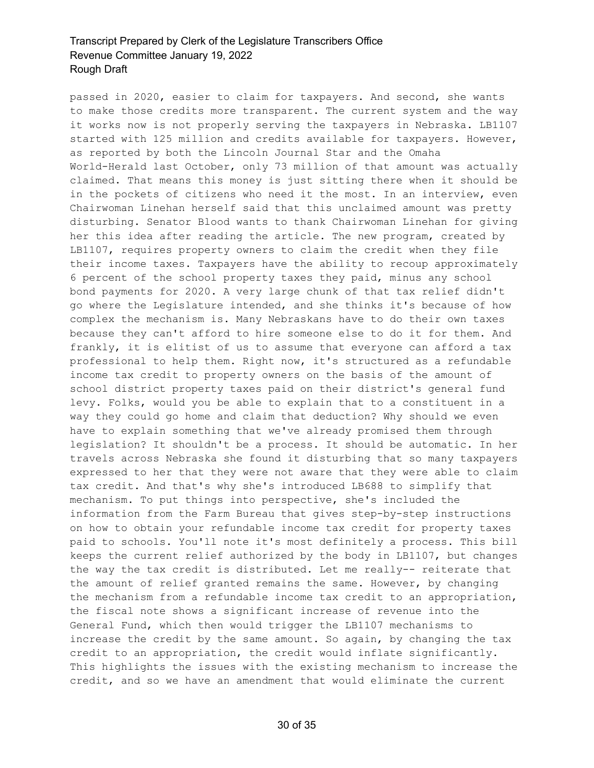passed in 2020, easier to claim for taxpayers. And second, she wants to make those credits more transparent. The current system and the way it works now is not properly serving the taxpayers in Nebraska. LB1107 started with 125 million and credits available for taxpayers. However, as reported by both the Lincoln Journal Star and the Omaha World-Herald last October, only 73 million of that amount was actually claimed. That means this money is just sitting there when it should be in the pockets of citizens who need it the most. In an interview, even Chairwoman Linehan herself said that this unclaimed amount was pretty disturbing. Senator Blood wants to thank Chairwoman Linehan for giving her this idea after reading the article. The new program, created by LB1107, requires property owners to claim the credit when they file their income taxes. Taxpayers have the ability to recoup approximately 6 percent of the school property taxes they paid, minus any school bond payments for 2020. A very large chunk of that tax relief didn't go where the Legislature intended, and she thinks it's because of how complex the mechanism is. Many Nebraskans have to do their own taxes because they can't afford to hire someone else to do it for them. And frankly, it is elitist of us to assume that everyone can afford a tax professional to help them. Right now, it's structured as a refundable income tax credit to property owners on the basis of the amount of school district property taxes paid on their district's general fund levy. Folks, would you be able to explain that to a constituent in a way they could go home and claim that deduction? Why should we even have to explain something that we've already promised them through legislation? It shouldn't be a process. It should be automatic. In her travels across Nebraska she found it disturbing that so many taxpayers expressed to her that they were not aware that they were able to claim tax credit. And that's why she's introduced LB688 to simplify that mechanism. To put things into perspective, she's included the information from the Farm Bureau that gives step-by-step instructions on how to obtain your refundable income tax credit for property taxes paid to schools. You'll note it's most definitely a process. This bill keeps the current relief authorized by the body in LB1107, but changes the way the tax credit is distributed. Let me really-- reiterate that the amount of relief granted remains the same. However, by changing the mechanism from a refundable income tax credit to an appropriation, the fiscal note shows a significant increase of revenue into the General Fund, which then would trigger the LB1107 mechanisms to increase the credit by the same amount. So again, by changing the tax credit to an appropriation, the credit would inflate significantly. This highlights the issues with the existing mechanism to increase the credit, and so we have an amendment that would eliminate the current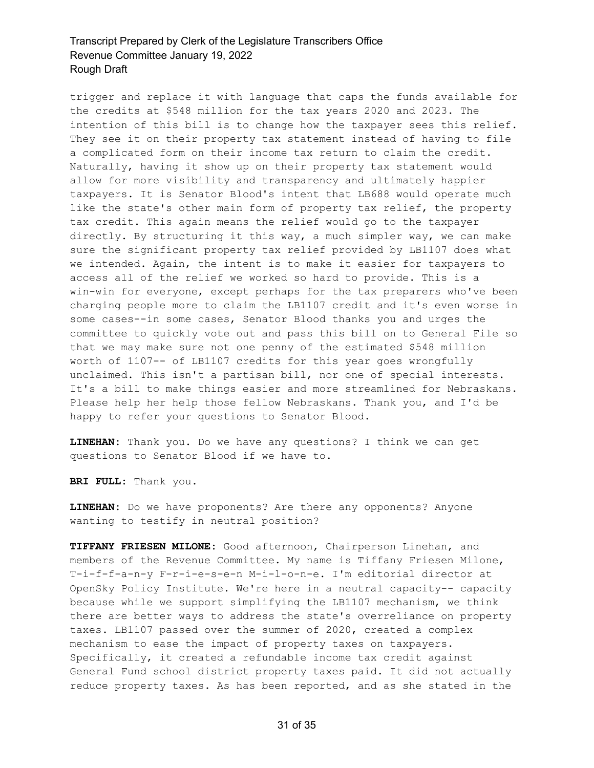trigger and replace it with language that caps the funds available for the credits at \$548 million for the tax years 2020 and 2023. The intention of this bill is to change how the taxpayer sees this relief. They see it on their property tax statement instead of having to file a complicated form on their income tax return to claim the credit. Naturally, having it show up on their property tax statement would allow for more visibility and transparency and ultimately happier taxpayers. It is Senator Blood's intent that LB688 would operate much like the state's other main form of property tax relief, the property tax credit. This again means the relief would go to the taxpayer directly. By structuring it this way, a much simpler way, we can make sure the significant property tax relief provided by LB1107 does what we intended. Again, the intent is to make it easier for taxpayers to access all of the relief we worked so hard to provide. This is a win-win for everyone, except perhaps for the tax preparers who've been charging people more to claim the LB1107 credit and it's even worse in some cases--in some cases, Senator Blood thanks you and urges the committee to quickly vote out and pass this bill on to General File so that we may make sure not one penny of the estimated \$548 million worth of 1107-- of LB1107 credits for this year goes wrongfully unclaimed. This isn't a partisan bill, nor one of special interests. It's a bill to make things easier and more streamlined for Nebraskans. Please help her help those fellow Nebraskans. Thank you, and I'd be happy to refer your questions to Senator Blood.

**LINEHAN:** Thank you. Do we have any questions? I think we can get questions to Senator Blood if we have to.

**BRI FULL:** Thank you.

**LINEHAN:** Do we have proponents? Are there any opponents? Anyone wanting to testify in neutral position?

**TIFFANY FRIESEN MILONE:** Good afternoon, Chairperson Linehan, and members of the Revenue Committee. My name is Tiffany Friesen Milone, T-i-f-f-a-n-y F-r-i-e-s-e-n M-i-l-o-n-e. I'm editorial director at OpenSky Policy Institute. We're here in a neutral capacity-- capacity because while we support simplifying the LB1107 mechanism, we think there are better ways to address the state's overreliance on property taxes. LB1107 passed over the summer of 2020, created a complex mechanism to ease the impact of property taxes on taxpayers. Specifically, it created a refundable income tax credit against General Fund school district property taxes paid. It did not actually reduce property taxes. As has been reported, and as she stated in the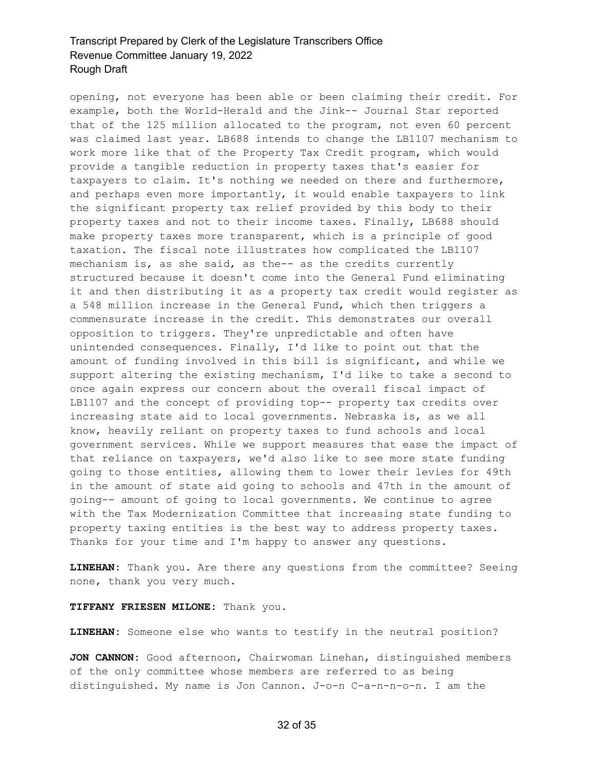opening, not everyone has been able or been claiming their credit. For example, both the World-Herald and the Jink-- Journal Star reported that of the 125 million allocated to the program, not even 60 percent was claimed last year. LB688 intends to change the LB1107 mechanism to work more like that of the Property Tax Credit program, which would provide a tangible reduction in property taxes that's easier for taxpayers to claim. It's nothing we needed on there and furthermore, and perhaps even more importantly, it would enable taxpayers to link the significant property tax relief provided by this body to their property taxes and not to their income taxes. Finally, LB688 should make property taxes more transparent, which is a principle of good taxation. The fiscal note illustrates how complicated the LB1107 mechanism is, as she said, as the-- as the credits currently structured because it doesn't come into the General Fund eliminating it and then distributing it as a property tax credit would register as a 548 million increase in the General Fund, which then triggers a commensurate increase in the credit. This demonstrates our overall opposition to triggers. They're unpredictable and often have unintended consequences. Finally, I'd like to point out that the amount of funding involved in this bill is significant, and while we support altering the existing mechanism, I'd like to take a second to once again express our concern about the overall fiscal impact of LB1107 and the concept of providing top-- property tax credits over increasing state aid to local governments. Nebraska is, as we all know, heavily reliant on property taxes to fund schools and local government services. While we support measures that ease the impact of that reliance on taxpayers, we'd also like to see more state funding going to those entities, allowing them to lower their levies for 49th in the amount of state aid going to schools and 47th in the amount of going-- amount of going to local governments. We continue to agree with the Tax Modernization Committee that increasing state funding to property taxing entities is the best way to address property taxes. Thanks for your time and I'm happy to answer any questions.

**LINEHAN:** Thank you. Are there any questions from the committee? Seeing none, thank you very much.

#### **TIFFANY FRIESEN MILONE:** Thank you.

**LINEHAN:** Someone else who wants to testify in the neutral position?

**JON CANNON:** Good afternoon, Chairwoman Linehan, distinguished members of the only committee whose members are referred to as being distinguished. My name is Jon Cannon. J-o-n C-a-n-n-o-n. I am the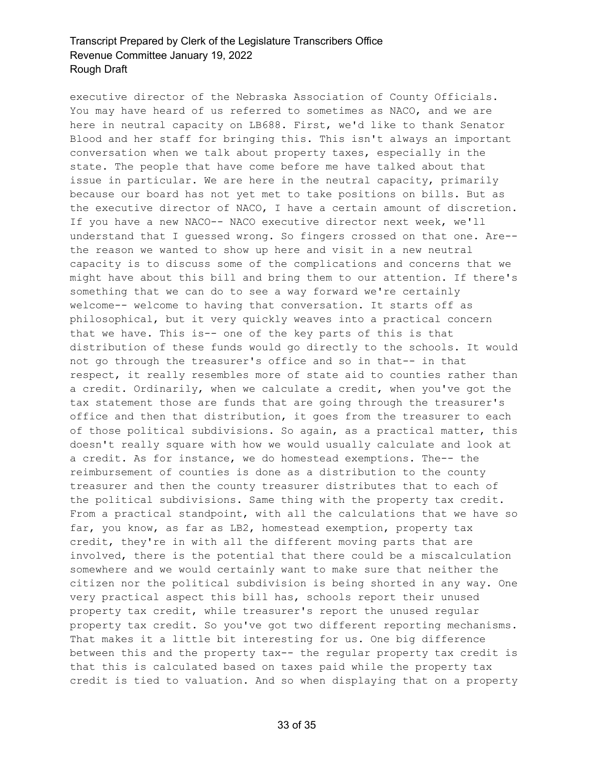executive director of the Nebraska Association of County Officials. You may have heard of us referred to sometimes as NACO, and we are here in neutral capacity on LB688. First, we'd like to thank Senator Blood and her staff for bringing this. This isn't always an important conversation when we talk about property taxes, especially in the state. The people that have come before me have talked about that issue in particular. We are here in the neutral capacity, primarily because our board has not yet met to take positions on bills. But as the executive director of NACO, I have a certain amount of discretion. If you have a new NACO-- NACO executive director next week, we'll understand that I guessed wrong. So fingers crossed on that one. Are- the reason we wanted to show up here and visit in a new neutral capacity is to discuss some of the complications and concerns that we might have about this bill and bring them to our attention. If there's something that we can do to see a way forward we're certainly welcome-- welcome to having that conversation. It starts off as philosophical, but it very quickly weaves into a practical concern that we have. This is-- one of the key parts of this is that distribution of these funds would go directly to the schools. It would not go through the treasurer's office and so in that-- in that respect, it really resembles more of state aid to counties rather than a credit. Ordinarily, when we calculate a credit, when you've got the tax statement those are funds that are going through the treasurer's office and then that distribution, it goes from the treasurer to each of those political subdivisions. So again, as a practical matter, this doesn't really square with how we would usually calculate and look at a credit. As for instance, we do homestead exemptions. The-- the reimbursement of counties is done as a distribution to the county treasurer and then the county treasurer distributes that to each of the political subdivisions. Same thing with the property tax credit. From a practical standpoint, with all the calculations that we have so far, you know, as far as LB2, homestead exemption, property tax credit, they're in with all the different moving parts that are involved, there is the potential that there could be a miscalculation somewhere and we would certainly want to make sure that neither the citizen nor the political subdivision is being shorted in any way. One very practical aspect this bill has, schools report their unused property tax credit, while treasurer's report the unused regular property tax credit. So you've got two different reporting mechanisms. That makes it a little bit interesting for us. One big difference between this and the property tax-- the regular property tax credit is that this is calculated based on taxes paid while the property tax credit is tied to valuation. And so when displaying that on a property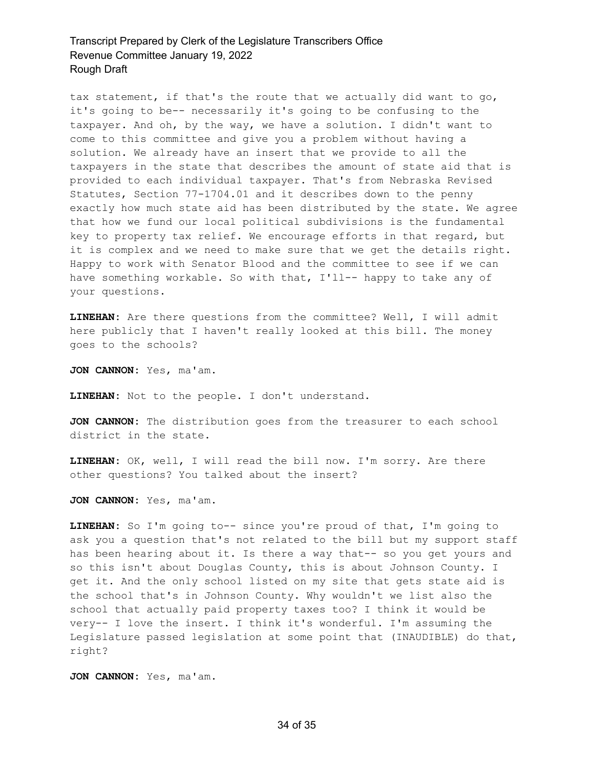tax statement, if that's the route that we actually did want to go, it's going to be-- necessarily it's going to be confusing to the taxpayer. And oh, by the way, we have a solution. I didn't want to come to this committee and give you a problem without having a solution. We already have an insert that we provide to all the taxpayers in the state that describes the amount of state aid that is provided to each individual taxpayer. That's from Nebraska Revised Statutes, Section 77-1704.01 and it describes down to the penny exactly how much state aid has been distributed by the state. We agree that how we fund our local political subdivisions is the fundamental key to property tax relief. We encourage efforts in that regard, but it is complex and we need to make sure that we get the details right. Happy to work with Senator Blood and the committee to see if we can have something workable. So with that, I'll-- happy to take any of your questions.

**LINEHAN:** Are there questions from the committee? Well, I will admit here publicly that I haven't really looked at this bill. The money goes to the schools?

**JON CANNON:** Yes, ma'am.

**LINEHAN:** Not to the people. I don't understand.

**JON CANNON:** The distribution goes from the treasurer to each school district in the state.

**LINEHAN:** OK, well, I will read the bill now. I'm sorry. Are there other questions? You talked about the insert?

**JON CANNON:** Yes, ma'am.

**LINEHAN:** So I'm going to-- since you're proud of that, I'm going to ask you a question that's not related to the bill but my support staff has been hearing about it. Is there a way that-- so you get yours and so this isn't about Douglas County, this is about Johnson County. I get it. And the only school listed on my site that gets state aid is the school that's in Johnson County. Why wouldn't we list also the school that actually paid property taxes too? I think it would be very-- I love the insert. I think it's wonderful. I'm assuming the Legislature passed legislation at some point that (INAUDIBLE) do that, right?

**JON CANNON:** Yes, ma'am.